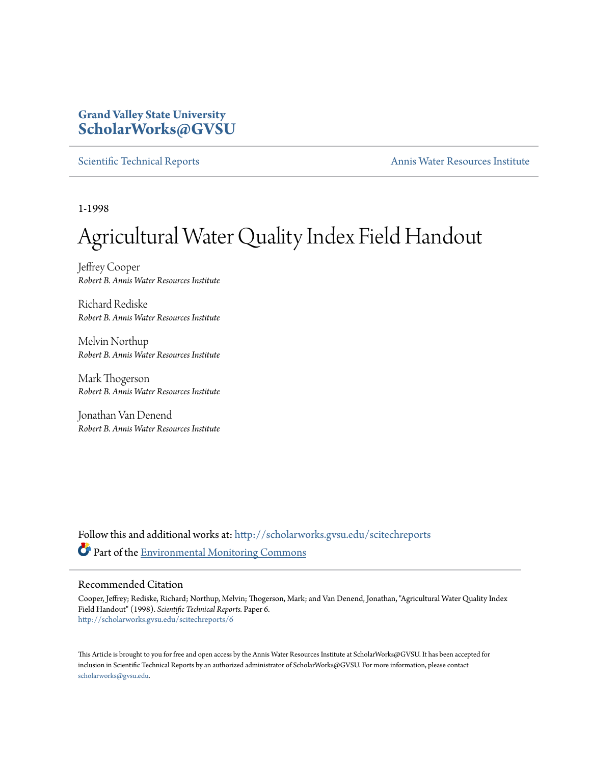## **Grand Valley State University [ScholarWorks@GVSU](http://scholarworks.gvsu.edu?utm_source=scholarworks.gvsu.edu%2Fscitechreports%2F6&utm_medium=PDF&utm_campaign=PDFCoverPages)**

[Scientific Technical Reports](http://scholarworks.gvsu.edu/scitechreports?utm_source=scholarworks.gvsu.edu%2Fscitechreports%2F6&utm_medium=PDF&utm_campaign=PDFCoverPages) **[Annis Water Resources Institute](http://scholarworks.gvsu.edu/awri?utm_source=scholarworks.gvsu.edu%2Fscitechreports%2F6&utm_medium=PDF&utm_campaign=PDFCoverPages)** 

1-1998

# Agricultural Water Quality Index Field Handout

Jeffrey Cooper *Robert B. Annis Water Resources Institute*

Richard Rediske *Robert B. Annis Water Resources Institute*

Melvin Northup *Robert B. Annis Water Resources Institute*

Mark Thogerson *Robert B. Annis Water Resources Institute*

Jonathan Van Denend *Robert B. Annis Water Resources Institute*

Follow this and additional works at: [http://scholarworks.gvsu.edu/scitechreports](http://scholarworks.gvsu.edu/scitechreports?utm_source=scholarworks.gvsu.edu%2Fscitechreports%2F6&utm_medium=PDF&utm_campaign=PDFCoverPages) Part of the [Environmental Monitoring Commons](http://network.bepress.com/hgg/discipline/931?utm_source=scholarworks.gvsu.edu%2Fscitechreports%2F6&utm_medium=PDF&utm_campaign=PDFCoverPages)

#### Recommended Citation

Cooper, Jeffrey; Rediske, Richard; Northup, Melvin; Thogerson, Mark; and Van Denend, Jonathan, "Agricultural Water Quality Index Field Handout" (1998). *Scientific Technical Reports.* Paper 6. [http://scholarworks.gvsu.edu/scitechreports/6](http://scholarworks.gvsu.edu/scitechreports/6?utm_source=scholarworks.gvsu.edu%2Fscitechreports%2F6&utm_medium=PDF&utm_campaign=PDFCoverPages)

This Article is brought to you for free and open access by the Annis Water Resources Institute at ScholarWorks@GVSU. It has been accepted for inclusion in Scientific Technical Reports by an authorized administrator of ScholarWorks@GVSU. For more information, please contact [scholarworks@gvsu.edu](mailto:scholarworks@gvsu.edu).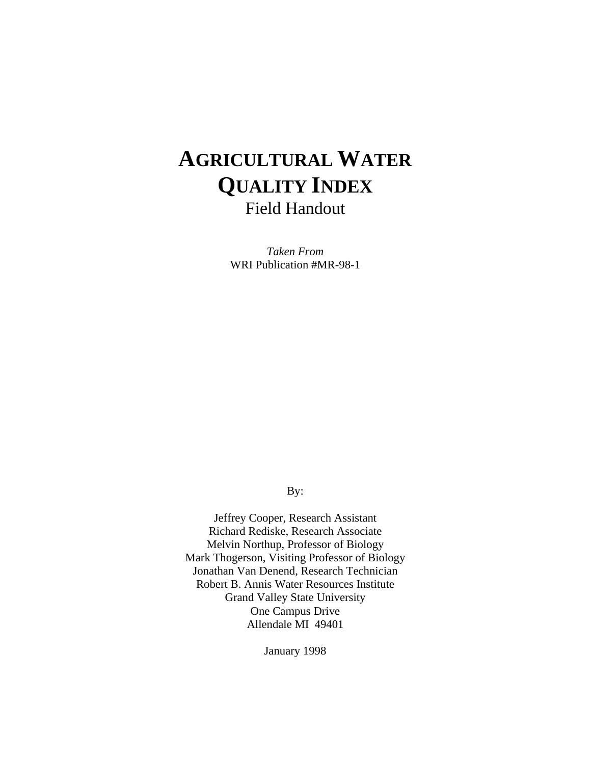# **AGRICULTURAL WATER QUALITY INDEX** Field Handout

*Taken From*  WRI Publication #MR-98-1

By:

Jeffrey Cooper, Research Assistant Richard Rediske, Research Associate Melvin Northup, Professor of Biology Mark Thogerson, Visiting Professor of Biology Jonathan Van Denend, Research Technician Robert B. Annis Water Resources Institute Grand Valley State University One Campus Drive Allendale MI 49401

January 1998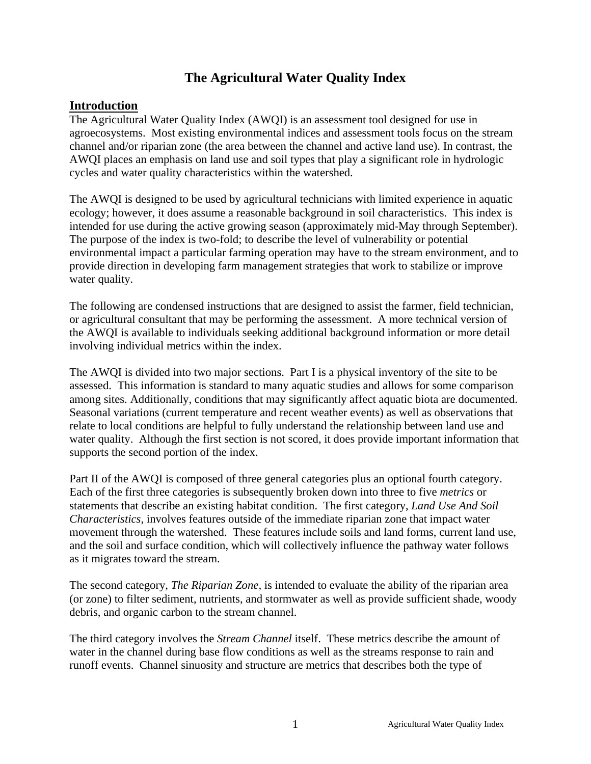## **The Agricultural Water Quality Index**

#### **Introduction**

The Agricultural Water Quality Index (AWQI) is an assessment tool designed for use in agroecosystems. Most existing environmental indices and assessment tools focus on the stream channel and/or riparian zone (the area between the channel and active land use). In contrast, the AWQI places an emphasis on land use and soil types that play a significant role in hydrologic cycles and water quality characteristics within the watershed.

The AWQI is designed to be used by agricultural technicians with limited experience in aquatic ecology; however, it does assume a reasonable background in soil characteristics. This index is intended for use during the active growing season (approximately mid-May through September). The purpose of the index is two-fold; to describe the level of vulnerability or potential environmental impact a particular farming operation may have to the stream environment, and to provide direction in developing farm management strategies that work to stabilize or improve water quality.

The following are condensed instructions that are designed to assist the farmer, field technician, or agricultural consultant that may be performing the assessment. A more technical version of the AWQI is available to individuals seeking additional background information or more detail involving individual metrics within the index.

The AWQI is divided into two major sections. Part I is a physical inventory of the site to be assessed. This information is standard to many aquatic studies and allows for some comparison among sites. Additionally, conditions that may significantly affect aquatic biota are documented. Seasonal variations (current temperature and recent weather events) as well as observations that relate to local conditions are helpful to fully understand the relationship between land use and water quality. Although the first section is not scored, it does provide important information that supports the second portion of the index.

Part II of the AWQI is composed of three general categories plus an optional fourth category. Each of the first three categories is subsequently broken down into three to five *metrics* or statements that describe an existing habitat condition. The first category, *Land Use And Soil Characteristics*, involves features outside of the immediate riparian zone that impact water movement through the watershed. These features include soils and land forms, current land use, and the soil and surface condition, which will collectively influence the pathway water follows as it migrates toward the stream.

The second category, *The Riparian Zone,* is intended to evaluate the ability of the riparian area (or zone) to filter sediment, nutrients, and stormwater as well as provide sufficient shade, woody debris, and organic carbon to the stream channel.

The third category involves the *Stream Channel* itself. These metrics describe the amount of water in the channel during base flow conditions as well as the streams response to rain and runoff events. Channel sinuosity and structure are metrics that describes both the type of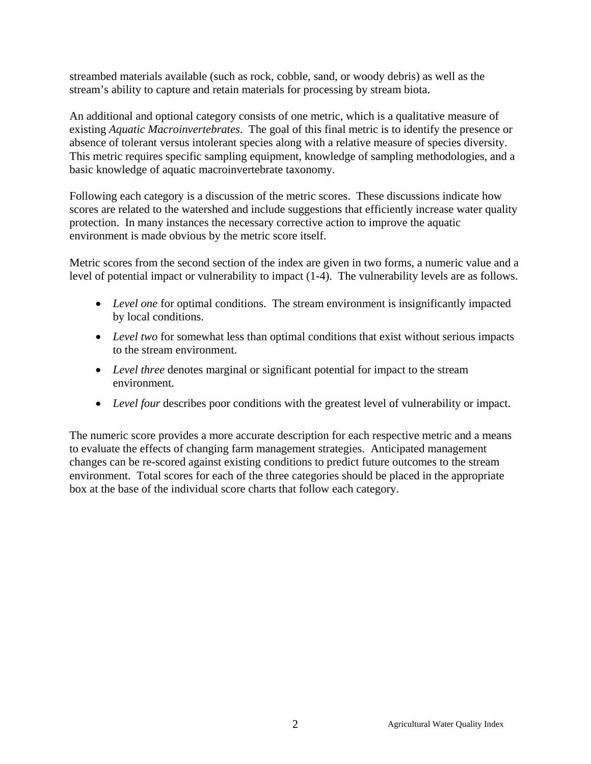streambed materials available (such as rock, cobble, sand, or woody debris) as well as the stream's ability to capture and retain materials for processing by stream biota.

An additional and optional category consists of one metric, which is a qualitative measure of existing *Aquatic Macroinvertebrates*. The goal of this final metric is to identify the presence or absence of tolerant versus intolerant species along with a relative measure of species diversity. This metric requires specific sampling equipment, knowledge of sampling methodologies, and a basic knowledge of aquatic macroinvertebrate taxonomy.

Following each category is a discussion of the metric scores. These discussions indicate how scores are related to the watershed and include suggestions that efficiently increase water quality protection. In many instances the necessary corrective action to improve the aquatic environment is made obvious by the metric score itself.

Metric scores from the second section of the index are given in two forms, a numeric value and a level of potential impact or vulnerability to impact (1-4). The vulnerability levels are as follows.

- *Level one* for optimal conditions. The stream environment is insignificantly impacted by local conditions.
- *Level two* for somewhat less than optimal conditions that exist without serious impacts to the stream environment.
- *Level three* denotes marginal or significant potential for impact to the stream environment.
- *Level four* describes poor conditions with the greatest level of vulnerability or impact.

The numeric score provides a more accurate description for each respective metric and a means to evaluate the effects of changing farm management strategies. Anticipated management changes can be re-scored against existing conditions to predict future outcomes to the stream environment. Total scores for each of the three categories should be placed in the appropriate box at the base of the individual score charts that follow each category.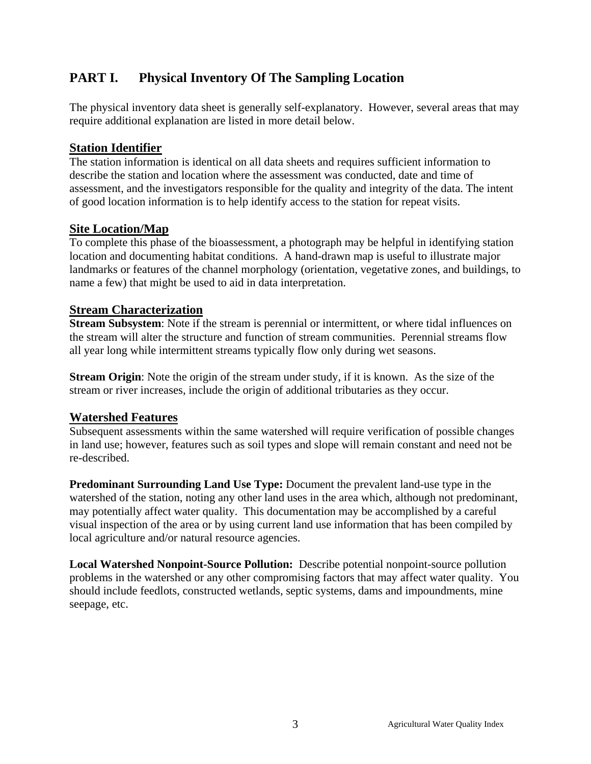## **PART I. Physical Inventory Of The Sampling Location**

The physical inventory data sheet is generally self-explanatory. However, several areas that may require additional explanation are listed in more detail below.

#### **Station Identifier**

The station information is identical on all data sheets and requires sufficient information to describe the station and location where the assessment was conducted, date and time of assessment, and the investigators responsible for the quality and integrity of the data. The intent of good location information is to help identify access to the station for repeat visits.

#### **Site Location/Map**

To complete this phase of the bioassessment, a photograph may be helpful in identifying station location and documenting habitat conditions. A hand-drawn map is useful to illustrate major landmarks or features of the channel morphology (orientation, vegetative zones, and buildings, to name a few) that might be used to aid in data interpretation.

#### **Stream Characterization**

**Stream Subsystem**: Note if the stream is perennial or intermittent, or where tidal influences on the stream will alter the structure and function of stream communities. Perennial streams flow all year long while intermittent streams typically flow only during wet seasons.

**Stream Origin:** Note the origin of the stream under study, if it is known. As the size of the stream or river increases, include the origin of additional tributaries as they occur.

#### **Watershed Features**

Subsequent assessments within the same watershed will require verification of possible changes in land use; however, features such as soil types and slope will remain constant and need not be re-described.

**Predominant Surrounding Land Use Type:** Document the prevalent land-use type in the watershed of the station, noting any other land uses in the area which, although not predominant, may potentially affect water quality. This documentation may be accomplished by a careful visual inspection of the area or by using current land use information that has been compiled by local agriculture and/or natural resource agencies.

**Local Watershed Nonpoint-Source Pollution:** Describe potential nonpoint-source pollution problems in the watershed or any other compromising factors that may affect water quality. You should include feedlots, constructed wetlands, septic systems, dams and impoundments, mine seepage, etc.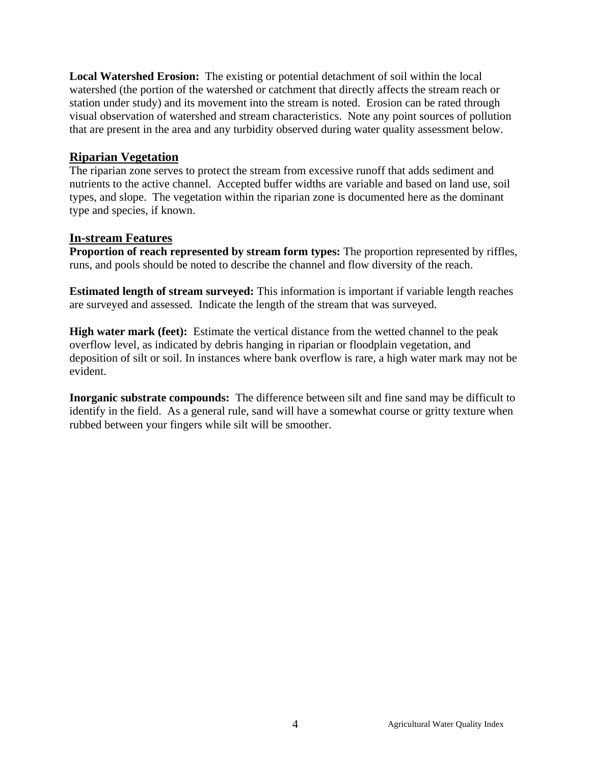**Local Watershed Erosion:** The existing or potential detachment of soil within the local watershed (the portion of the watershed or catchment that directly affects the stream reach or station under study) and its movement into the stream is noted. Erosion can be rated through visual observation of watershed and stream characteristics. Note any point sources of pollution that are present in the area and any turbidity observed during water quality assessment below.

#### **Riparian Vegetation**

The riparian zone serves to protect the stream from excessive runoff that adds sediment and nutrients to the active channel. Accepted buffer widths are variable and based on land use, soil types, and slope. The vegetation within the riparian zone is documented here as the dominant type and species, if known.

#### **In-stream Features**

**Proportion of reach represented by stream form types:** The proportion represented by riffles, runs, and pools should be noted to describe the channel and flow diversity of the reach.

**Estimated length of stream surveyed:** This information is important if variable length reaches are surveyed and assessed. Indicate the length of the stream that was surveyed.

**High water mark (feet):** Estimate the vertical distance from the wetted channel to the peak overflow level, as indicated by debris hanging in riparian or floodplain vegetation, and deposition of silt or soil. In instances where bank overflow is rare, a high water mark may not be evident.

**Inorganic substrate compounds:** The difference between silt and fine sand may be difficult to identify in the field. As a general rule, sand will have a somewhat course or gritty texture when rubbed between your fingers while silt will be smoother.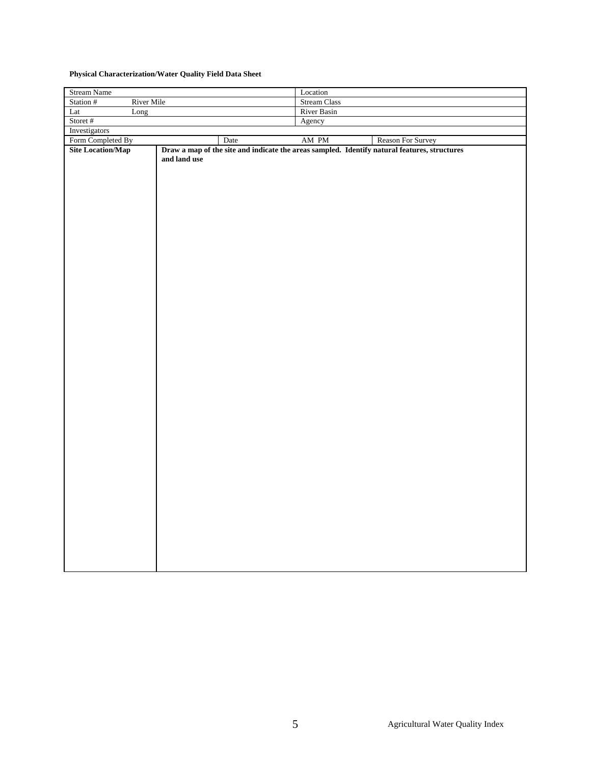#### **Physical Characterization/Water Quality Field Data Sheet**

| Stream Name              |              |      | Location     |                                                                                              |
|--------------------------|--------------|------|--------------|----------------------------------------------------------------------------------------------|
| River Mile<br>Station #  |              |      | Stream Class |                                                                                              |
| Lat<br>Long              |              |      | River Basin  |                                                                                              |
| Storet #                 |              |      | Agency       |                                                                                              |
| Investigators            |              |      |              |                                                                                              |
| Form Completed By        |              | Date | AM PM        | Reason For Survey                                                                            |
| <b>Site Location/Map</b> |              |      |              | Draw a map of the site and indicate the areas sampled. Identify natural features, structures |
|                          | and land use |      |              |                                                                                              |
|                          |              |      |              |                                                                                              |
|                          |              |      |              |                                                                                              |
|                          |              |      |              |                                                                                              |
|                          |              |      |              |                                                                                              |
|                          |              |      |              |                                                                                              |
|                          |              |      |              |                                                                                              |
|                          |              |      |              |                                                                                              |
|                          |              |      |              |                                                                                              |
|                          |              |      |              |                                                                                              |
|                          |              |      |              |                                                                                              |
|                          |              |      |              |                                                                                              |
|                          |              |      |              |                                                                                              |
|                          |              |      |              |                                                                                              |
|                          |              |      |              |                                                                                              |
|                          |              |      |              |                                                                                              |
|                          |              |      |              |                                                                                              |
|                          |              |      |              |                                                                                              |
|                          |              |      |              |                                                                                              |
|                          |              |      |              |                                                                                              |
|                          |              |      |              |                                                                                              |
|                          |              |      |              |                                                                                              |
|                          |              |      |              |                                                                                              |
|                          |              |      |              |                                                                                              |
|                          |              |      |              |                                                                                              |
|                          |              |      |              |                                                                                              |
|                          |              |      |              |                                                                                              |
|                          |              |      |              |                                                                                              |
|                          |              |      |              |                                                                                              |
|                          |              |      |              |                                                                                              |
|                          |              |      |              |                                                                                              |
|                          |              |      |              |                                                                                              |
|                          |              |      |              |                                                                                              |
|                          |              |      |              |                                                                                              |
|                          |              |      |              |                                                                                              |
|                          |              |      |              |                                                                                              |
|                          |              |      |              |                                                                                              |
|                          |              |      |              |                                                                                              |
|                          |              |      |              |                                                                                              |
|                          |              |      |              |                                                                                              |
|                          |              |      |              |                                                                                              |
|                          |              |      |              |                                                                                              |
|                          |              |      |              |                                                                                              |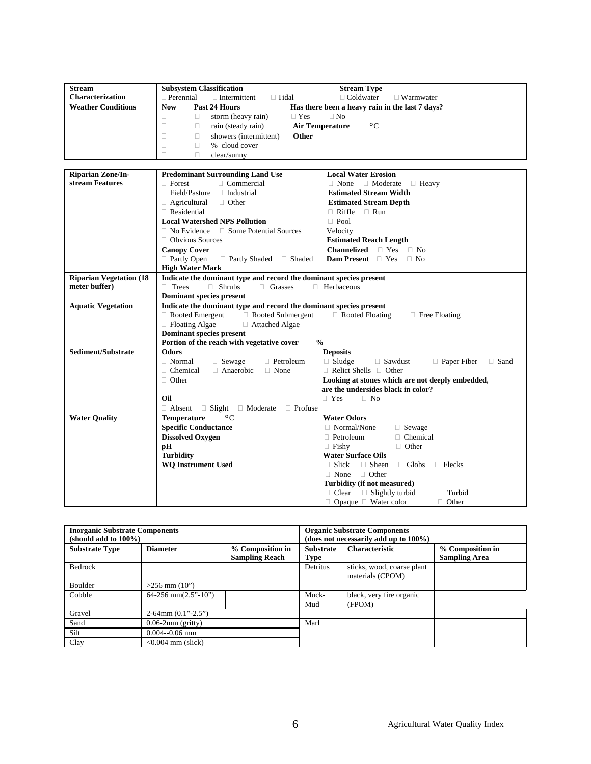| <b>Stream</b>                  | <b>Subsystem Classification</b>                                    | <b>Stream Type</b>                                                   |  |
|--------------------------------|--------------------------------------------------------------------|----------------------------------------------------------------------|--|
| Characterization               | $\Box$ Perennial<br>$\Box$ Intermittent<br>$\Box$ Tidal            | $\Box$ Coldwater<br>$\Box$ Warmwater                                 |  |
| <b>Weather Conditions</b>      | <b>Now</b><br>Past 24 Hours                                        | Has there been a heavy rain in the last 7 days?                      |  |
|                                | $\Box$<br>storm (heavy rain)<br>$\Box$ Yes<br>$\Box$               | $\Box$ No                                                            |  |
|                                | $\Box$<br>rain (steady rain)<br>$\Box$                             | <b>Air Temperature</b><br>$\circ$ C                                  |  |
|                                | $\Box$<br>showers (intermittent)<br>Other<br>$\Box$                |                                                                      |  |
|                                | $\Box$<br>$\Box$<br>% cloud cover                                  |                                                                      |  |
|                                | $\Box$<br>П<br>clear/sunny                                         |                                                                      |  |
|                                |                                                                    |                                                                      |  |
| <b>Riparian Zone/In-</b>       | <b>Predominant Surrounding Land Use</b>                            | <b>Local Water Erosion</b>                                           |  |
| stream Features                | $\Box$ Commercial<br>$\Box$ Forest                                 | $\Box$ None<br>$\Box$ Moderate $\Box$ Heavy                          |  |
|                                | $\Box$ Field/Pasture<br>$\Box$ Industrial                          | <b>Estimated Stream Width</b>                                        |  |
|                                | $\Box$ Agricultural<br>$\Box$ Other                                | <b>Estimated Stream Depth</b>                                        |  |
|                                | $\Box$ Residential                                                 | $\Box$ Riffle<br>$\Box$ Run                                          |  |
|                                | <b>Local Watershed NPS Pollution</b>                               | $\Box$ Pool                                                          |  |
|                                | □ Some Potential Sources<br>$\Box$ No Evidence                     | Velocity                                                             |  |
|                                | $\Box$ Obvious Sources                                             | <b>Estimated Reach Length</b>                                        |  |
|                                | <b>Canopy Cover</b>                                                | <b>Channelized</b> $\Box$ Yes $\Box$ No                              |  |
|                                | $\Box$ Partly Open<br>$\Box$ Partly Shaded $\Box$ Shaded           | <b>Dam Present</b> $\Box$ Yes $\Box$ No                              |  |
|                                | <b>High Water Mark</b>                                             |                                                                      |  |
| <b>Riparian Vegetation (18</b> | Indicate the dominant type and record the dominant species present |                                                                      |  |
| meter buffer)                  | $\Box$ Trees<br>$\Box$ Shrubs<br>$\Box$ Grasses                    | $\Box$ Herbaceous                                                    |  |
|                                | <b>Dominant species present</b>                                    |                                                                      |  |
| <b>Aquatic Vegetation</b>      | Indicate the dominant type and record the dominant species present |                                                                      |  |
|                                | □ Rooted Submergent<br>$\Box$ Rooted Emergent                      | $\Box$ Rooted Floating<br>$\Box$ Free Floating                       |  |
|                                | $\Box$ Floating Algae<br>□ Attached Algae                          |                                                                      |  |
|                                | <b>Dominant species present</b>                                    |                                                                      |  |
|                                | Portion of the reach with vegetative cover<br>$\frac{6}{9}$        |                                                                      |  |
| Sediment/Substrate             | <b>Odors</b>                                                       | <b>Deposits</b>                                                      |  |
|                                | $\Box$ Normal<br>$\Box$ Sewage<br>$\Box$ Petroleum                 | $\Box$ Sludge<br>$\Box$ Sawdust<br>$\Box$ Paper Fiber<br>$\Box$ Sand |  |
|                                | $\Box$ Anaerobic<br>$\Box$ Chemical<br>$\Box$ None                 | $\Box$ Relict Shells $\Box$ Other                                    |  |
|                                | $\Box$ Other                                                       | Looking at stones which are not deeply embedded,                     |  |
|                                |                                                                    | are the undersides black in color?                                   |  |
|                                | Oil                                                                | $\Box$ Yes<br>$\Box$ No                                              |  |
|                                | $\Box$ Absent<br>$\Box$ Slight $\Box$ Moderate<br>□ Profuse        |                                                                      |  |
| <b>Water Quality</b>           | $\circ$ C<br><b>Temperature</b>                                    | <b>Water Odors</b>                                                   |  |
|                                | <b>Specific Conductance</b>                                        | $\Box$ Normal/None<br>$\Box$ Sewage                                  |  |
|                                | <b>Dissolved Oxygen</b>                                            | □ Chemical<br>$\Box$ Petroleum                                       |  |
|                                | рH                                                                 | $\Box$ Fishy<br>$\Box$ Other                                         |  |
|                                | <b>Turbidity</b>                                                   | <b>Water Surface Oils</b>                                            |  |
|                                | <b>WQ Instrument Used</b>                                          | $\Box$ Slick<br>$\Box$ Sheen<br>$\Box$ Flecks<br>$\Box$ Globs        |  |
|                                |                                                                    | $\Box$ Other<br>$\Box$ None                                          |  |
|                                |                                                                    | Turbidity (if not measured)                                          |  |
|                                |                                                                    | $\Box$ Clear<br>$\Box$ Slightly turbid<br>$\Box$ Turbid              |  |
|                                |                                                                    | $\Box$ Opaque $\Box$ Water color<br>$\Box$ Other                     |  |

| <b>Inorganic Substrate Components</b><br>(should add to $100\%$ ) |                           |                                           | <b>Organic Substrate Components</b><br>(does not necessarily add up to $100\%$ ) |                                                |                                          |
|-------------------------------------------------------------------|---------------------------|-------------------------------------------|----------------------------------------------------------------------------------|------------------------------------------------|------------------------------------------|
| <b>Substrate Type</b>                                             | <b>Diameter</b>           | % Composition in<br><b>Sampling Reach</b> | <b>Substrate</b><br><b>Type</b>                                                  | <b>Characteristic</b>                          | % Composition in<br><b>Sampling Area</b> |
| <b>Bedrock</b>                                                    |                           |                                           | <b>Detritus</b>                                                                  | sticks, wood, coarse plant<br>materials (CPOM) |                                          |
| <b>Boulder</b>                                                    | $>256$ mm $(10")$         |                                           |                                                                                  |                                                |                                          |
| Cobble                                                            | $64-256$ mm $(2.5"$ -10") |                                           | Muck-<br>Mud                                                                     | black, very fire organic<br>(FPOM)             |                                          |
| Gravel                                                            | $2-64$ mm $(0.1" - 2.5")$ |                                           |                                                                                  |                                                |                                          |
| Sand                                                              | $0.06-2mm$ (gritty)       |                                           | Marl                                                                             |                                                |                                          |
| Silt                                                              | $0.004 - 0.06$ mm         |                                           |                                                                                  |                                                |                                          |
| Clay                                                              | $\leq 0.004$ mm (slick)   |                                           |                                                                                  |                                                |                                          |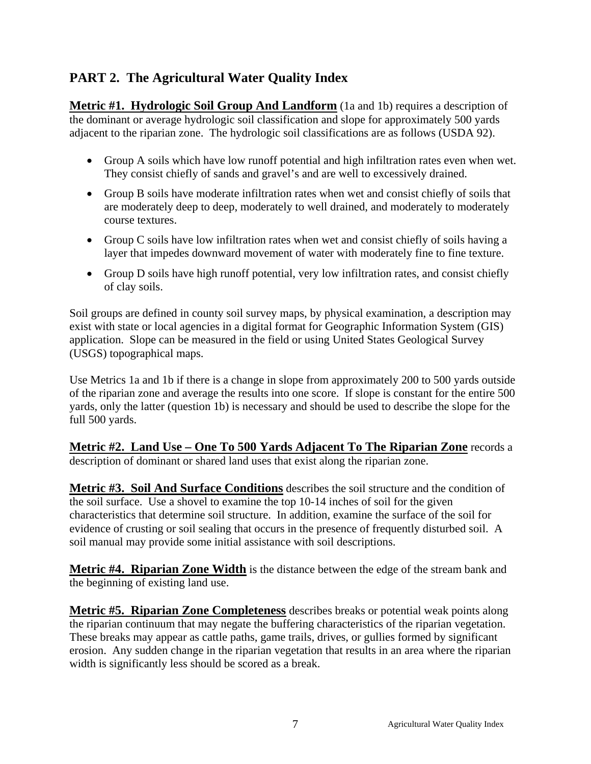## **PART 2. The Agricultural Water Quality Index**

**Metric #1. Hydrologic Soil Group And Landform** (1a and 1b) requires a description of the dominant or average hydrologic soil classification and slope for approximately 500 yards adjacent to the riparian zone. The hydrologic soil classifications are as follows (USDA 92).

- Group A soils which have low runoff potential and high infiltration rates even when wet. They consist chiefly of sands and gravel's and are well to excessively drained.
- Group B soils have moderate infiltration rates when wet and consist chiefly of soils that are moderately deep to deep, moderately to well drained, and moderately to moderately course textures.
- Group C soils have low infiltration rates when wet and consist chiefly of soils having a layer that impedes downward movement of water with moderately fine to fine texture.
- Group D soils have high runoff potential, very low infiltration rates, and consist chiefly of clay soils.

Soil groups are defined in county soil survey maps, by physical examination, a description may exist with state or local agencies in a digital format for Geographic Information System (GIS) application. Slope can be measured in the field or using United States Geological Survey (USGS) topographical maps.

Use Metrics 1a and 1b if there is a change in slope from approximately 200 to 500 yards outside of the riparian zone and average the results into one score. If slope is constant for the entire 500 yards, only the latter (question 1b) is necessary and should be used to describe the slope for the full 500 yards.

**Metric #2. Land Use – One To 500 Yards Adjacent To The Riparian Zone** records a description of dominant or shared land uses that exist along the riparian zone.

**Metric #3. Soil And Surface Conditions** describes the soil structure and the condition of the soil surface. Use a shovel to examine the top 10-14 inches of soil for the given characteristics that determine soil structure. In addition, examine the surface of the soil for evidence of crusting or soil sealing that occurs in the presence of frequently disturbed soil. A soil manual may provide some initial assistance with soil descriptions.

**Metric #4. Riparian Zone Width** is the distance between the edge of the stream bank and the beginning of existing land use.

**Metric #5. Riparian Zone Completeness** describes breaks or potential weak points along the riparian continuum that may negate the buffering characteristics of the riparian vegetation. These breaks may appear as cattle paths, game trails, drives, or gullies formed by significant erosion. Any sudden change in the riparian vegetation that results in an area where the riparian width is significantly less should be scored as a break.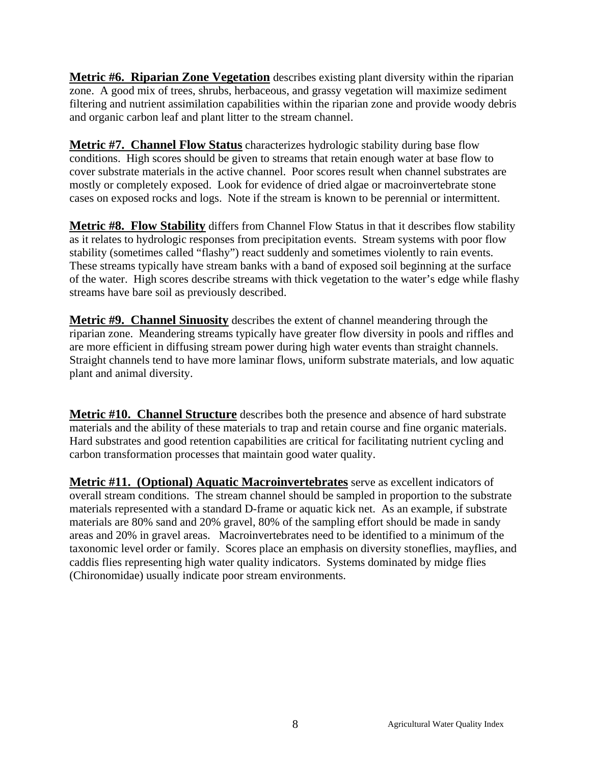**Metric #6. Riparian Zone Vegetation** describes existing plant diversity within the riparian zone. A good mix of trees, shrubs, herbaceous, and grassy vegetation will maximize sediment filtering and nutrient assimilation capabilities within the riparian zone and provide woody debris and organic carbon leaf and plant litter to the stream channel.

**Metric #7. Channel Flow Status** characterizes hydrologic stability during base flow conditions. High scores should be given to streams that retain enough water at base flow to cover substrate materials in the active channel. Poor scores result when channel substrates are mostly or completely exposed. Look for evidence of dried algae or macroinvertebrate stone cases on exposed rocks and logs. Note if the stream is known to be perennial or intermittent.

**Metric #8. Flow Stability** differs from Channel Flow Status in that it describes flow stability as it relates to hydrologic responses from precipitation events. Stream systems with poor flow stability (sometimes called "flashy") react suddenly and sometimes violently to rain events. These streams typically have stream banks with a band of exposed soil beginning at the surface of the water. High scores describe streams with thick vegetation to the water's edge while flashy streams have bare soil as previously described.

**Metric #9. Channel Sinuosity** describes the extent of channel meandering through the riparian zone. Meandering streams typically have greater flow diversity in pools and riffles and are more efficient in diffusing stream power during high water events than straight channels. Straight channels tend to have more laminar flows, uniform substrate materials, and low aquatic plant and animal diversity.

**Metric #10. Channel Structure** describes both the presence and absence of hard substrate materials and the ability of these materials to trap and retain course and fine organic materials. Hard substrates and good retention capabilities are critical for facilitating nutrient cycling and carbon transformation processes that maintain good water quality.

**Metric #11. (Optional) Aquatic Macroinvertebrates** serve as excellent indicators of overall stream conditions. The stream channel should be sampled in proportion to the substrate materials represented with a standard D-frame or aquatic kick net. As an example, if substrate materials are 80% sand and 20% gravel, 80% of the sampling effort should be made in sandy areas and 20% in gravel areas. Macroinvertebrates need to be identified to a minimum of the taxonomic level order or family. Scores place an emphasis on diversity stoneflies, mayflies, and caddis flies representing high water quality indicators. Systems dominated by midge flies (Chironomidae) usually indicate poor stream environments.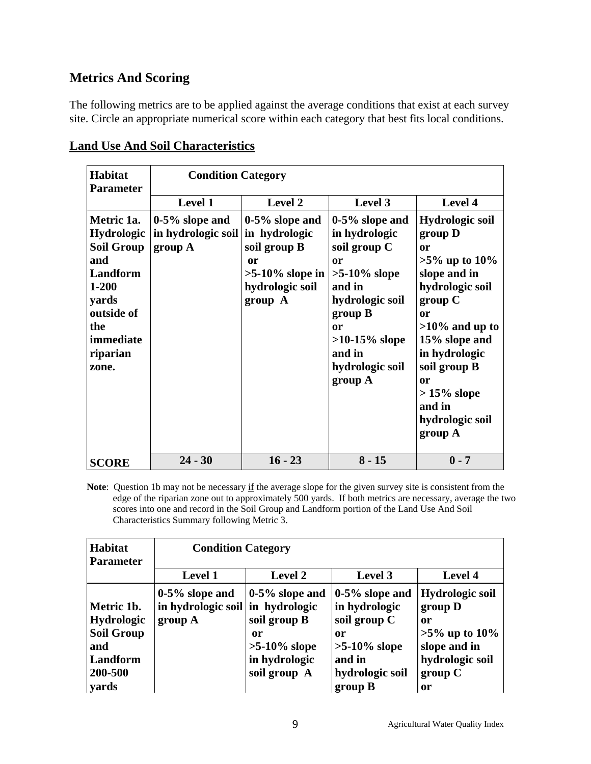## **Metrics And Scoring**

The following metrics are to be applied against the average conditions that exist at each survey site. Circle an appropriate numerical score within each category that best fits local conditions.

| <b>Habitat</b><br><b>Parameter</b>                                                                                                                   | <b>Condition Category</b>                                        |                                                                                             |                                                                                                                                                                                       |                                                                                                                                                                                                                                                                 |
|------------------------------------------------------------------------------------------------------------------------------------------------------|------------------------------------------------------------------|---------------------------------------------------------------------------------------------|---------------------------------------------------------------------------------------------------------------------------------------------------------------------------------------|-----------------------------------------------------------------------------------------------------------------------------------------------------------------------------------------------------------------------------------------------------------------|
|                                                                                                                                                      | <b>Level 1</b>                                                   | Level 2                                                                                     | Level 3                                                                                                                                                                               | Level 4                                                                                                                                                                                                                                                         |
| Metric 1a.<br><b>Hydrologic</b><br><b>Soil Group</b><br>and<br>Landform<br>$1 - 200$<br>yards<br>outside of<br>the<br>immediate<br>riparian<br>zone. | $0-5\%$ slope and<br>in hydrologic soil in hydrologic<br>group A | $0-5\%$ slope and<br>soil group B<br>or<br>$>5-10\%$ slope in<br>hydrologic soil<br>group A | $0-5\%$ slope and<br>in hydrologic<br>soil group C<br>or<br>$>5-10\%$ slope<br>and in<br>hydrologic soil<br>group B<br>or<br>$>10-15\%$ slope<br>and in<br>hydrologic soil<br>group A | <b>Hydrologic soil</b><br>group D<br>or<br>$>5\%$ up to $10\%$<br>slope and in<br>hydrologic soil<br>group C<br>or<br>$>10\%$ and up to<br>15% slope and<br>in hydrologic<br>soil group B<br><b>or</b><br>$>15\%$ slope<br>and in<br>hydrologic soil<br>group A |
| <b>SCORE</b>                                                                                                                                         | $24 - 30$                                                        | $16 - 23$                                                                                   | $8 - 15$                                                                                                                                                                              | $0 - 7$                                                                                                                                                                                                                                                         |

#### **Land Use And Soil Characteristics**

**Note:** Question 1b may not be necessary if the average slope for the given survey site is consistent from the edge of the riparian zone out to approximately 500 yards. If both metrics are necessary, average the two scores into one and record in the Soil Group and Landform portion of the Land Use And Soil Characteristics Summary following Metric 3.

| <b>Habitat</b><br><b>Parameter</b>                                                 | <b>Condition Category</b>                          |                                                                                                              |                                                                                                          |                                                                                                           |  |
|------------------------------------------------------------------------------------|----------------------------------------------------|--------------------------------------------------------------------------------------------------------------|----------------------------------------------------------------------------------------------------------|-----------------------------------------------------------------------------------------------------------|--|
|                                                                                    | <b>Level 1</b>                                     | <b>Level 2</b>                                                                                               | Level 3                                                                                                  | Level 4                                                                                                   |  |
| Metric 1b.<br><b>Hydrologic</b><br><b>Soil Group</b><br>and<br>Landform<br>200-500 | $0.5\%$ slope and<br>in hydrologic soil<br>group A | $0-5\%$ slope and<br>in hydrologic<br>soil group B<br>or<br>$>5-10\%$ slope<br>in hydrologic<br>soil group A | $0.5\%$ slope and<br>in hydrologic<br>soil group C<br>or<br>$>5-10\%$ slope<br>and in<br>hydrologic soil | <b>Hydrologic soil</b><br>group D<br>0r<br>$>5\%$ up to 10%<br>slope and in<br>hydrologic soil<br>group C |  |
| yards                                                                              |                                                    |                                                                                                              | group B                                                                                                  | <b>or</b>                                                                                                 |  |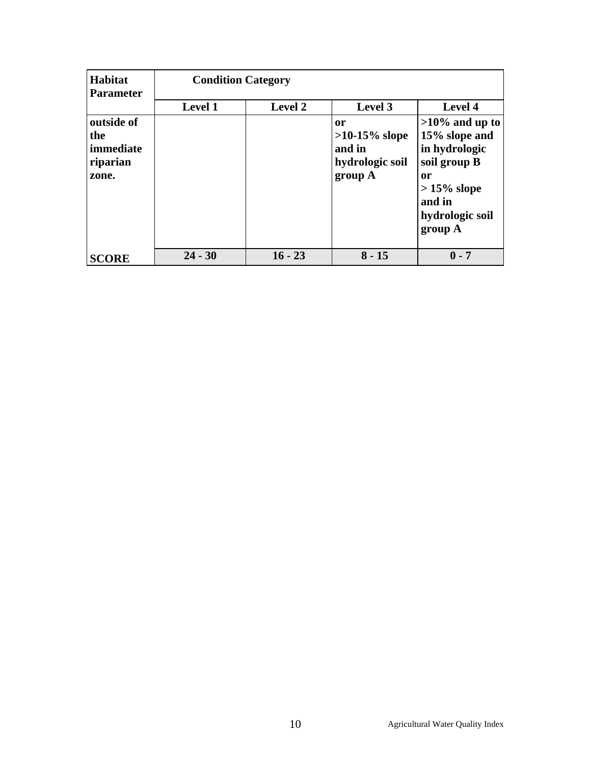| Habitat<br><b>Parameter</b>                         | <b>Condition Category</b> |                |                                                                |                                                                                                                                    |  |
|-----------------------------------------------------|---------------------------|----------------|----------------------------------------------------------------|------------------------------------------------------------------------------------------------------------------------------------|--|
|                                                     | <b>Level 1</b>            | <b>Level 2</b> | Level 3                                                        | Level 4                                                                                                                            |  |
| outside of<br>the<br>immediate<br>riparian<br>zone. |                           |                | 0r<br>$>10-15\%$ slope<br>and in<br>hydrologic soil<br>group A | $>10\%$ and up to<br>15% slope and<br>in hydrologic<br>soil group B<br>or<br>$>15\%$ slope<br>and in<br>hydrologic soil<br>group A |  |
| <b>SCORE</b>                                        | $24 - 30$                 | $16 - 23$      | $8 - 15$                                                       | $0 - 7$                                                                                                                            |  |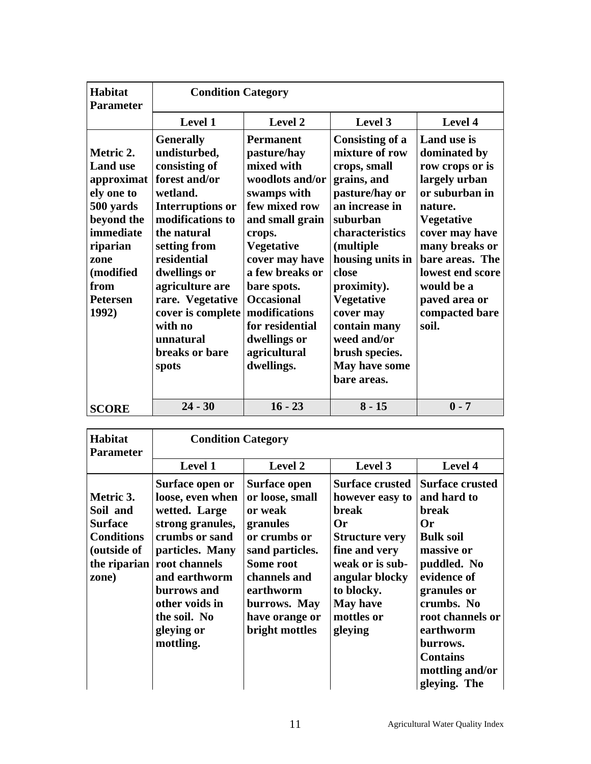| <b>Habitat</b><br><b>Parameter</b>                                                                                                                                    | <b>Condition Category</b>                                                                                                                                                                                                                                                                                  |                                                                                                                                                                                                                                                                                                               |                                                                                                                                                                                                                                                                                                                 |                                                                                                                                                                                                                                                        |  |
|-----------------------------------------------------------------------------------------------------------------------------------------------------------------------|------------------------------------------------------------------------------------------------------------------------------------------------------------------------------------------------------------------------------------------------------------------------------------------------------------|---------------------------------------------------------------------------------------------------------------------------------------------------------------------------------------------------------------------------------------------------------------------------------------------------------------|-----------------------------------------------------------------------------------------------------------------------------------------------------------------------------------------------------------------------------------------------------------------------------------------------------------------|--------------------------------------------------------------------------------------------------------------------------------------------------------------------------------------------------------------------------------------------------------|--|
|                                                                                                                                                                       | Level 1                                                                                                                                                                                                                                                                                                    | Level 2                                                                                                                                                                                                                                                                                                       | Level 3                                                                                                                                                                                                                                                                                                         | Level 4                                                                                                                                                                                                                                                |  |
| Metric 2.<br><b>Land use</b><br>approximat<br>ely one to<br>500 yards<br>beyond the<br>immediate<br>riparian<br>zone<br>(modified<br>from<br><b>Petersen</b><br>1992) | <b>Generally</b><br>undisturbed,<br>consisting of<br>forest and/or<br>wetland.<br><b>Interruptions or</b><br>modifications to<br>the natural<br>setting from<br>residential<br>dwellings or<br>agriculture are<br>rare. Vegetative<br>cover is complete<br>with no<br>unnatural<br>breaks or bare<br>spots | <b>Permanent</b><br>pasture/hay<br>mixed with<br>woodlots and/or<br>swamps with<br>few mixed row<br>and small grain<br>crops.<br><b>Vegetative</b><br>cover may have<br>a few breaks or<br>bare spots.<br><b>Occasional</b><br>modifications<br>for residential<br>dwellings or<br>agricultural<br>dwellings. | Consisting of a<br>mixture of row<br>crops, small<br>grains, and<br>pasture/hay or<br>an increase in<br>suburban<br>characteristics<br>(multiple<br>housing units in<br>close<br>proximity).<br><b>Vegetative</b><br>cover may<br>contain many<br>weed and/or<br>brush species.<br>May have some<br>bare areas. | Land use is<br>dominated by<br>row crops or is<br>largely urban<br>or suburban in<br>nature.<br><b>Vegetative</b><br>cover may have<br>many breaks or<br>bare areas. The<br>lowest end score<br>would be a<br>paved area or<br>compacted bare<br>soil. |  |
| <b>SCORE</b>                                                                                                                                                          | $24 - 30$                                                                                                                                                                                                                                                                                                  | $16 - 23$                                                                                                                                                                                                                                                                                                     | $8 - 15$                                                                                                                                                                                                                                                                                                        | $0 - 7$                                                                                                                                                                                                                                                |  |

| <b>Habitat</b><br><b>Parameter</b>                                                   | <b>Condition Category</b>                                                                                                                                                                                                                |                                                                                                                                                                                                |                                                                                                                                                                                                          |                                                                                                                                                                                                                                                      |  |
|--------------------------------------------------------------------------------------|------------------------------------------------------------------------------------------------------------------------------------------------------------------------------------------------------------------------------------------|------------------------------------------------------------------------------------------------------------------------------------------------------------------------------------------------|----------------------------------------------------------------------------------------------------------------------------------------------------------------------------------------------------------|------------------------------------------------------------------------------------------------------------------------------------------------------------------------------------------------------------------------------------------------------|--|
|                                                                                      | <b>Level 1</b>                                                                                                                                                                                                                           | <b>Level 2</b>                                                                                                                                                                                 | Level 3                                                                                                                                                                                                  | Level 4                                                                                                                                                                                                                                              |  |
| Metric 3.<br>Soil and<br><b>Surface</b><br><b>Conditions</b><br>(outside of<br>zone) | Surface open or<br>loose, even when<br>wetted. Large<br>strong granules,<br>crumbs or sand<br>particles. Many<br>the riparian root channels<br>and earthworm<br>burrows and<br>other voids in<br>the soil. No<br>gleying or<br>mottling. | <b>Surface open</b><br>or loose, small<br>or weak<br>granules<br>or crumbs or<br>sand particles.<br>Some root<br>channels and<br>earthworm<br>burrows. May<br>have orange or<br>bright mottles | <b>Surface crusted</b><br>however easy to<br><b>break</b><br>0r<br><b>Structure very</b><br>fine and very<br>weak or is sub-<br>angular blocky<br>to blocky.<br><b>May have</b><br>mottles or<br>gleying | <b>Surface crusted</b><br>and hard to<br>break<br>0r<br><b>Bulk soil</b><br>massive or<br>puddled. No<br>evidence of<br>granules or<br>crumbs. No<br>root channels or<br>earthworm<br>burrows.<br><b>Contains</b><br>mottling and/or<br>gleying. The |  |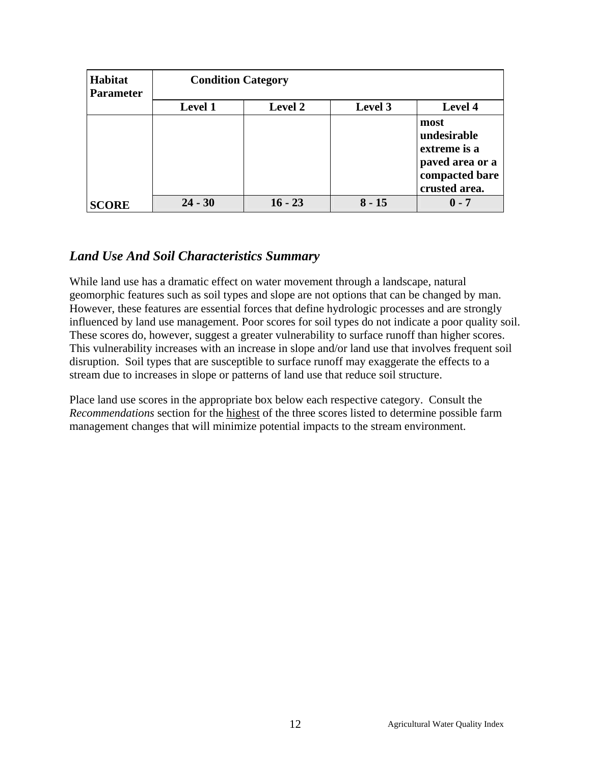| Habitat<br><b>Parameter</b> | <b>Condition Category</b> |                |          |                                                                                           |  |  |
|-----------------------------|---------------------------|----------------|----------|-------------------------------------------------------------------------------------------|--|--|
|                             | <b>Level 1</b>            | <b>Level 2</b> | Level 3  | Level 4                                                                                   |  |  |
|                             |                           |                |          | most<br>undesirable<br>extreme is a<br>paved area or a<br>compacted bare<br>crusted area. |  |  |
| <b>SCORE</b>                | $24 - 30$                 | $16 - 23$      | $8 - 15$ | $0 - 7$                                                                                   |  |  |

## *Land Use And Soil Characteristics Summary*

While land use has a dramatic effect on water movement through a landscape, natural geomorphic features such as soil types and slope are not options that can be changed by man. However, these features are essential forces that define hydrologic processes and are strongly influenced by land use management. Poor scores for soil types do not indicate a poor quality soil. These scores do, however, suggest a greater vulnerability to surface runoff than higher scores. This vulnerability increases with an increase in slope and/or land use that involves frequent soil disruption. Soil types that are susceptible to surface runoff may exaggerate the effects to a stream due to increases in slope or patterns of land use that reduce soil structure.

Place land use scores in the appropriate box below each respective category. Consult the *Recommendations* section for the highest of the three scores listed to determine possible farm management changes that will minimize potential impacts to the stream environment.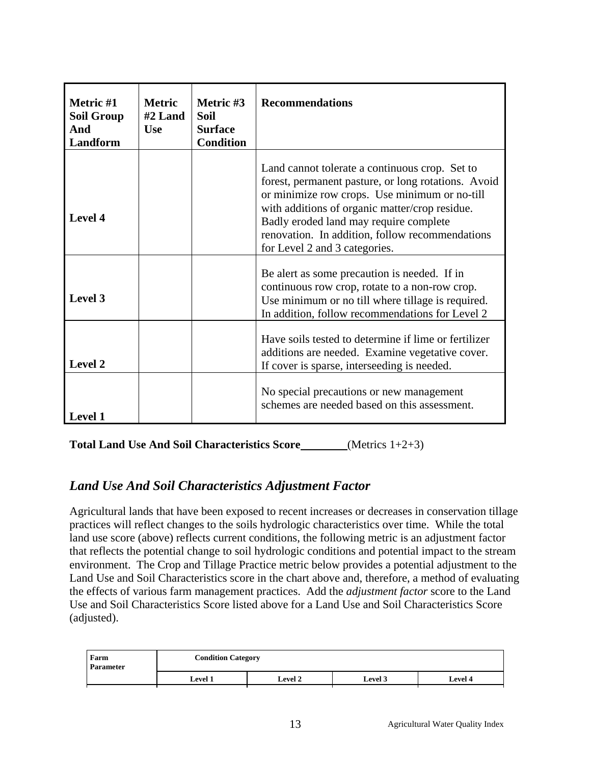| Metric #1<br><b>Soil Group</b><br>And<br>Landform | <b>Metric</b><br>$#2$ Land<br><b>Use</b> | Metric #3<br>Soil<br><b>Surface</b><br><b>Condition</b> | <b>Recommendations</b>                                                                                                                                                                                                                                                                                                                 |
|---------------------------------------------------|------------------------------------------|---------------------------------------------------------|----------------------------------------------------------------------------------------------------------------------------------------------------------------------------------------------------------------------------------------------------------------------------------------------------------------------------------------|
| Level 4                                           |                                          |                                                         | Land cannot tolerate a continuous crop. Set to<br>forest, permanent pasture, or long rotations. Avoid<br>or minimize row crops. Use minimum or no-till<br>with additions of organic matter/crop residue.<br>Badly eroded land may require complete<br>renovation. In addition, follow recommendations<br>for Level 2 and 3 categories. |
| Level 3                                           |                                          |                                                         | Be alert as some precaution is needed. If in<br>continuous row crop, rotate to a non-row crop.<br>Use minimum or no till where tillage is required.<br>In addition, follow recommendations for Level 2                                                                                                                                 |
| Level 2                                           |                                          |                                                         | Have soils tested to determine if lime or fertilizer<br>additions are needed. Examine vegetative cover.<br>If cover is sparse, interseeding is needed.                                                                                                                                                                                 |
| <b>Level 1</b>                                    |                                          |                                                         | No special precautions or new management<br>schemes are needed based on this assessment.                                                                                                                                                                                                                                               |

**Total Land Use And Soil Characteristics Score** (Metrics 1+2+3)

## *Land Use And Soil Characteristics Adjustment Factor*

Agricultural lands that have been exposed to recent increases or decreases in conservation tillage practices will reflect changes to the soils hydrologic characteristics over time. While the total land use score (above) reflects current conditions, the following metric is an adjustment factor that reflects the potential change to soil hydrologic conditions and potential impact to the stream environment. The Crop and Tillage Practice metric below provides a potential adjustment to the Land Use and Soil Characteristics score in the chart above and, therefore, a method of evaluating the effects of various farm management practices. Add the *adjustment factor* score to the Land Use and Soil Characteristics Score listed above for a Land Use and Soil Characteristics Score (adjusted).

| Farm<br><b>Parameter</b> | <b>Condition Category</b> |                |                |                |  |
|--------------------------|---------------------------|----------------|----------------|----------------|--|
|                          | <b>Level 1</b>            | <b>Level 2</b> | <b>Level 3</b> | <b>Level 4</b> |  |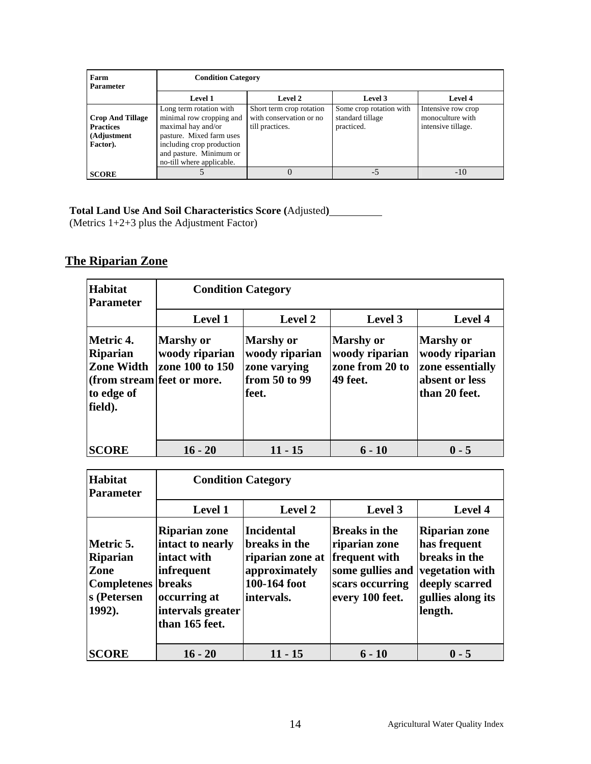| Farm<br><b>Parameter</b>                                               |                                                                                                                                                                                            | <b>Condition Category</b>                                              |                                                           |                                                              |  |  |  |
|------------------------------------------------------------------------|--------------------------------------------------------------------------------------------------------------------------------------------------------------------------------------------|------------------------------------------------------------------------|-----------------------------------------------------------|--------------------------------------------------------------|--|--|--|
|                                                                        | Level 2<br>Level 1<br>Level 3<br>Level 4                                                                                                                                                   |                                                                        |                                                           |                                                              |  |  |  |
| <b>Crop And Tillage</b><br><b>Practices</b><br>(Adjustment<br>Factor). | Long term rotation with<br>minimal row cropping and<br>maximal hay and/or<br>pasture. Mixed farm uses<br>including crop production<br>and pasture. Minimum or<br>no-till where applicable. | Short term crop rotation<br>with conservation or no<br>till practices. | Some crop rotation with<br>standard tillage<br>practiced. | Intensive row crop<br>monoculture with<br>intensive tillage. |  |  |  |
| <b>SCORE</b>                                                           |                                                                                                                                                                                            | 0                                                                      | $-5$                                                      | $-10$                                                        |  |  |  |

#### **Total Land Use And Soil Characteristics Score (**Adjusted**)**

(Metrics 1+2+3 plus the Adjustment Factor)

## **The Riparian Zone**

| Habitat<br><b>Parameter</b>                                                                                     | <b>Condition Category</b>                             |                                                                              |                                                                   |                                                                                           |
|-----------------------------------------------------------------------------------------------------------------|-------------------------------------------------------|------------------------------------------------------------------------------|-------------------------------------------------------------------|-------------------------------------------------------------------------------------------|
|                                                                                                                 | <b>Level 1</b>                                        | <b>Level 2</b>                                                               | Level 3                                                           | Level 4                                                                                   |
| <b>Metric 4.</b><br><b>Riparian</b><br><b>Zone Width</b><br>(from stream feet or more.<br>to edge of<br>field). | <b>Marshy</b> or<br>woody riparian<br>zone 100 to 150 | <b>Marshy</b> or<br>woody riparian<br>zone varying<br>from 50 to 99<br>feet. | <b>Marshy or</b><br>woody riparian<br>zone from 20 to<br>49 feet. | <b>Marshy</b> or<br>woody riparian<br>zone essentially<br>absent or less<br>than 20 feet. |
| <b>SCORE</b>                                                                                                    | $16 - 20$                                             | $11 - 15$                                                                    | $6 - 10$                                                          | $0 - 5$                                                                                   |

| <b>Habitat</b><br><b>Parameter</b>                                                  | <b>Condition Category</b>                                                                                                                     |                                                                                                       |                                                                                                                  |                                                                                                                            |
|-------------------------------------------------------------------------------------|-----------------------------------------------------------------------------------------------------------------------------------------------|-------------------------------------------------------------------------------------------------------|------------------------------------------------------------------------------------------------------------------|----------------------------------------------------------------------------------------------------------------------------|
|                                                                                     | <b>Level 1</b>                                                                                                                                | <b>Level 2</b>                                                                                        | Level 3                                                                                                          | Level 4                                                                                                                    |
| Metric 5.<br><b>Riparian</b><br>Zone<br><b>Completenes</b><br>s (Petersen<br>1992). | <b>Riparian zone</b><br>intact to nearly<br>intact with<br>infrequent<br><b>breaks</b><br>occurring at<br>intervals greater<br>than 165 feet. | <b>Incidental</b><br>breaks in the<br>riparian zone at<br>approximately<br>100-164 foot<br>intervals. | <b>Breaks in the</b><br>riparian zone<br>frequent with<br>some gullies and<br>scars occurring<br>every 100 feet. | <b>Riparian zone</b><br>has frequent<br>breaks in the<br>vegetation with<br>deeply scarred<br>gullies along its<br>length. |
| <b>SCORE</b>                                                                        | $16 - 20$                                                                                                                                     | $11 - 15$                                                                                             | $6 - 10$                                                                                                         | $0 - 5$                                                                                                                    |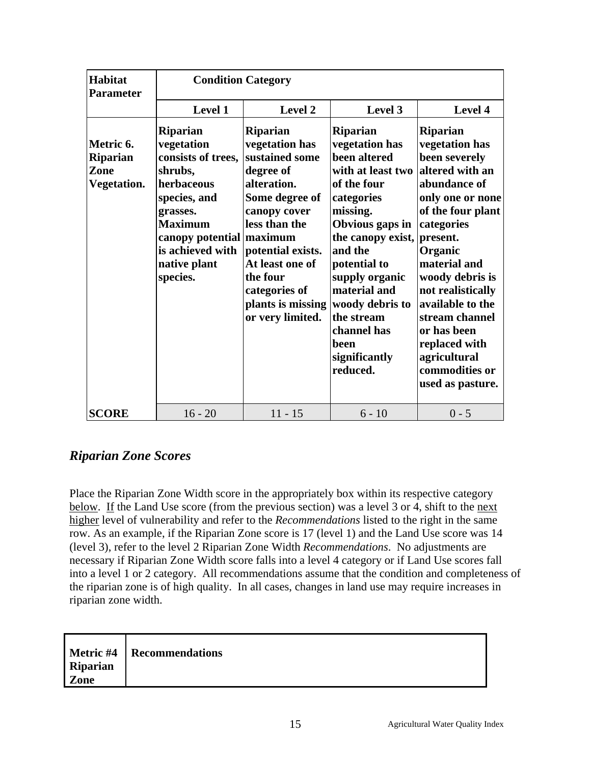| Habitat<br><b>Parameter</b>                         | <b>Condition Category</b>                                                                                                                                                                              |                                                                                                                                                                                                                                                  |                                                                                                                                                                                                                                                                                                           |                                                                                                                                                                                                                                                                                                                                                         |
|-----------------------------------------------------|--------------------------------------------------------------------------------------------------------------------------------------------------------------------------------------------------------|--------------------------------------------------------------------------------------------------------------------------------------------------------------------------------------------------------------------------------------------------|-----------------------------------------------------------------------------------------------------------------------------------------------------------------------------------------------------------------------------------------------------------------------------------------------------------|---------------------------------------------------------------------------------------------------------------------------------------------------------------------------------------------------------------------------------------------------------------------------------------------------------------------------------------------------------|
|                                                     | Level 1                                                                                                                                                                                                | Level 2                                                                                                                                                                                                                                          | Level 3                                                                                                                                                                                                                                                                                                   | Level 4                                                                                                                                                                                                                                                                                                                                                 |
| Metric 6.<br><b>Riparian</b><br>Zone<br>Vegetation. | <b>Riparian</b><br>vegetation<br>consists of trees,<br>shrubs,<br>herbaceous<br>species, and<br>grasses.<br><b>Maximum</b><br>canopy potential maximum<br>is achieved with<br>native plant<br>species. | <b>Riparian</b><br>vegetation has<br>sustained some<br>degree of<br>alteration.<br>Some degree of<br>canopy cover<br>less than the<br>potential exists.<br>At least one of<br>the four<br>categories of<br>plants is missing<br>or very limited. | <b>Riparian</b><br>vegetation has<br>been altered<br>with at least two<br>of the four<br>categories<br>missing.<br>Obvious gaps in<br>the canopy exist,<br>and the<br>potential to<br>supply organic<br>material and<br>woody debris to<br>the stream<br>channel has<br>been<br>significantly<br>reduced. | <b>Riparian</b><br>vegetation has<br>been severely<br>altered with an<br>abundance of<br>only one or none<br>of the four plant<br>categories<br>present.<br>Organic<br>material and<br>woody debris is<br>not realistically<br>available to the<br>stream channel<br>or has been<br>replaced with<br>agricultural<br>commodities or<br>used as pasture. |
| <b>SCORE</b>                                        | $16 - 20$                                                                                                                                                                                              | $11 - 15$                                                                                                                                                                                                                                        | $6 - 10$                                                                                                                                                                                                                                                                                                  | $0 - 5$                                                                                                                                                                                                                                                                                                                                                 |

## *Riparian Zone Scores*

Place the Riparian Zone Width score in the appropriately box within its respective category below. If the Land Use score (from the previous section) was a level 3 or 4, shift to the next higher level of vulnerability and refer to the *Recommendations* listed to the right in the same row. As an example, if the Riparian Zone score is 17 (level 1) and the Land Use score was 14 (level 3), refer to the level 2 Riparian Zone Width *Recommendations*. No adjustments are necessary if Riparian Zone Width score falls into a level 4 category or if Land Use scores fall into a level 1 or 2 category. All recommendations assume that the condition and completeness of the riparian zone is of high quality. In all cases, changes in land use may require increases in riparian zone width.

| Riparian | Metric #4   Recommendations |
|----------|-----------------------------|
| Zone     |                             |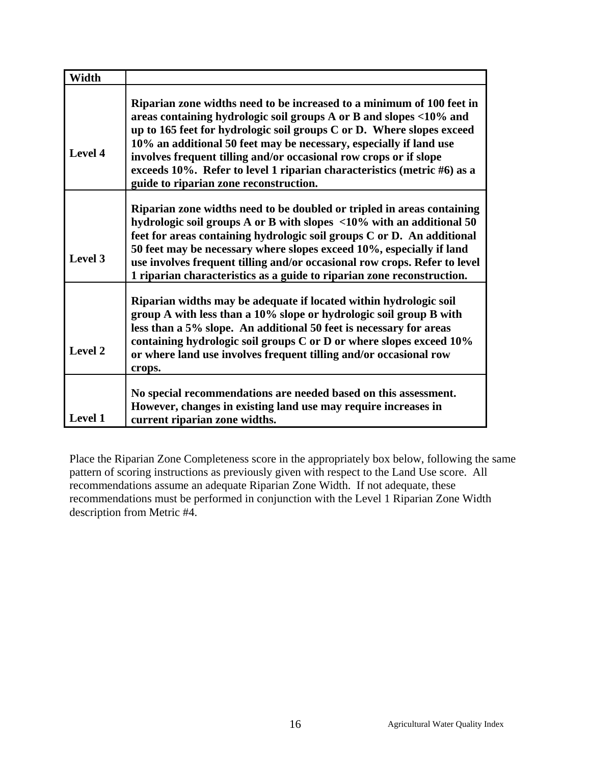| Width              |                                                                                                                                                                                                                                                                                                                                                                                                                                                                                      |
|--------------------|--------------------------------------------------------------------------------------------------------------------------------------------------------------------------------------------------------------------------------------------------------------------------------------------------------------------------------------------------------------------------------------------------------------------------------------------------------------------------------------|
| Level 4            | Riparian zone widths need to be increased to a minimum of 100 feet in<br>areas containing hydrologic soil groups A or B and slopes <10% and<br>up to 165 feet for hydrologic soil groups C or D. Where slopes exceed<br>10% an additional 50 feet may be necessary, especially if land use<br>involves frequent tilling and/or occasional row crops or if slope<br>exceeds 10%. Refer to level 1 riparian characteristics (metric #6) as a<br>guide to riparian zone reconstruction. |
| Level 3            | Riparian zone widths need to be doubled or tripled in areas containing<br>hydrologic soil groups A or B with slopes <10% with an additional 50<br>feet for areas containing hydrologic soil groups C or D. An additional<br>50 feet may be necessary where slopes exceed 10%, especially if land<br>use involves frequent tilling and/or occasional row crops. Refer to level<br>1 riparian characteristics as a guide to riparian zone reconstruction.                              |
| Level <sub>2</sub> | Riparian widths may be adequate if located within hydrologic soil<br>group A with less than a 10% slope or hydrologic soil group B with<br>less than a 5% slope. An additional 50 feet is necessary for areas<br>containing hydrologic soil groups C or D or where slopes exceed 10%<br>or where land use involves frequent tilling and/or occasional row<br>crops.                                                                                                                  |
| <b>Level 1</b>     | No special recommendations are needed based on this assessment.<br>However, changes in existing land use may require increases in<br>current riparian zone widths.                                                                                                                                                                                                                                                                                                                   |

Place the Riparian Zone Completeness score in the appropriately box below, following the same pattern of scoring instructions as previously given with respect to the Land Use score. All recommendations assume an adequate Riparian Zone Width. If not adequate, these recommendations must be performed in conjunction with the Level 1 Riparian Zone Width description from Metric #4.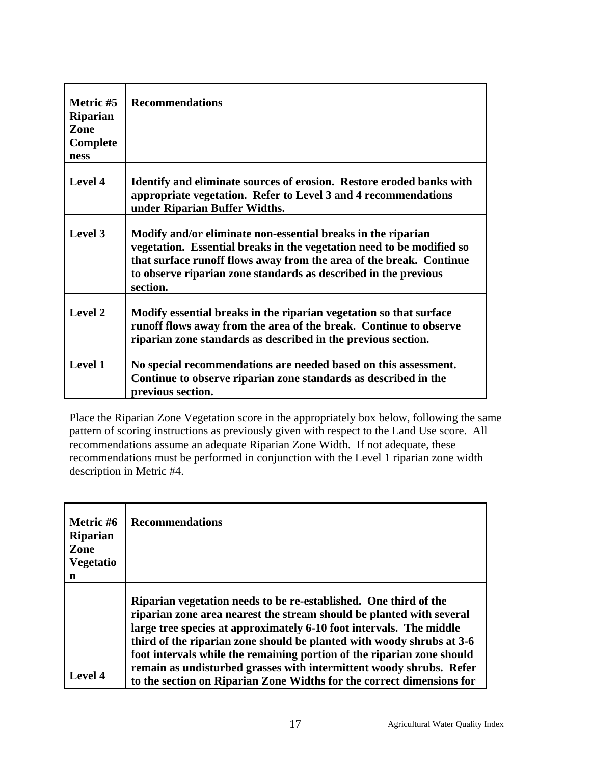| Metric #5<br><b>Riparian</b><br>Zone<br>Complete<br>ness | <b>Recommendations</b>                                                                                                                                                                                                                                                                      |
|----------------------------------------------------------|---------------------------------------------------------------------------------------------------------------------------------------------------------------------------------------------------------------------------------------------------------------------------------------------|
| Level 4                                                  | Identify and eliminate sources of erosion. Restore eroded banks with<br>appropriate vegetation. Refer to Level 3 and 4 recommendations<br>under Riparian Buffer Widths.                                                                                                                     |
| Level 3                                                  | Modify and/or eliminate non-essential breaks in the riparian<br>vegetation. Essential breaks in the vegetation need to be modified so<br>that surface runoff flows away from the area of the break. Continue<br>to observe riparian zone standards as described in the previous<br>section. |
| Level 2                                                  | Modify essential breaks in the riparian vegetation so that surface<br>runoff flows away from the area of the break. Continue to observe<br>riparian zone standards as described in the previous section.                                                                                    |
| <b>Level 1</b>                                           | No special recommendations are needed based on this assessment.<br>Continue to observe riparian zone standards as described in the<br>previous section.                                                                                                                                     |

Place the Riparian Zone Vegetation score in the appropriately box below, following the same pattern of scoring instructions as previously given with respect to the Land Use score. All recommendations assume an adequate Riparian Zone Width. If not adequate, these recommendations must be performed in conjunction with the Level 1 riparian zone width description in Metric #4.

| Metric #6<br><b>Riparian</b><br>Zone<br><b>Vegetatio</b><br>n | <b>Recommendations</b>                                                                                                                                                                                                                                                                                                                                                                                                                                                                                             |
|---------------------------------------------------------------|--------------------------------------------------------------------------------------------------------------------------------------------------------------------------------------------------------------------------------------------------------------------------------------------------------------------------------------------------------------------------------------------------------------------------------------------------------------------------------------------------------------------|
| Level 4                                                       | Riparian vegetation needs to be re-established. One third of the<br>riparian zone area nearest the stream should be planted with several<br>large tree species at approximately 6-10 foot intervals. The middle<br>third of the riparian zone should be planted with woody shrubs at 3-6<br>foot intervals while the remaining portion of the riparian zone should<br>remain as undisturbed grasses with intermittent woody shrubs. Refer<br>to the section on Riparian Zone Widths for the correct dimensions for |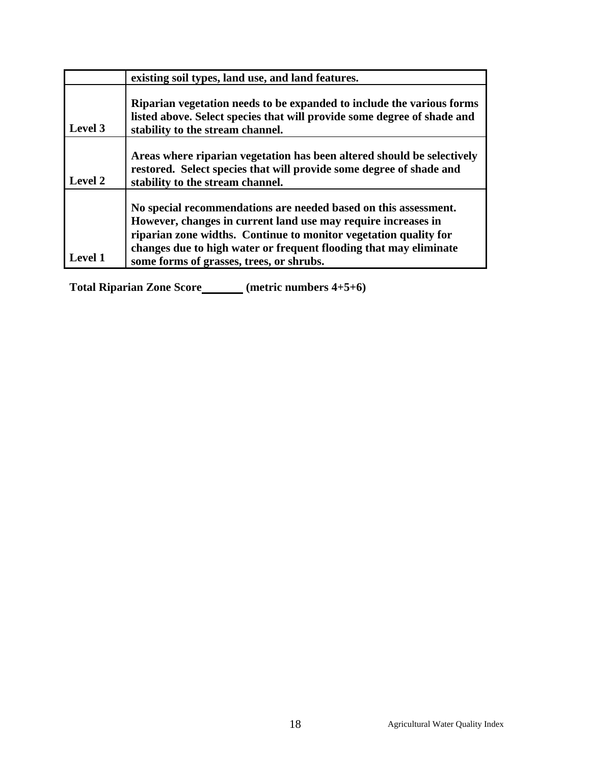|                | existing soil types, land use, and land features.                                                                                                                                                                                                                                                                     |
|----------------|-----------------------------------------------------------------------------------------------------------------------------------------------------------------------------------------------------------------------------------------------------------------------------------------------------------------------|
| Level 3        | Riparian vegetation needs to be expanded to include the various forms<br>listed above. Select species that will provide some degree of shade and<br>stability to the stream channel.                                                                                                                                  |
| <b>Level 2</b> | Areas where riparian vegetation has been altered should be selectively<br>restored. Select species that will provide some degree of shade and<br>stability to the stream channel.                                                                                                                                     |
| <b>Level 1</b> | No special recommendations are needed based on this assessment.<br>However, changes in current land use may require increases in<br>riparian zone widths. Continue to monitor vegetation quality for<br>changes due to high water or frequent flooding that may eliminate<br>some forms of grasses, trees, or shrubs. |

Total Riparian Zone Score\_\_\_\_\_\_\_ (metric numbers 4+5+6)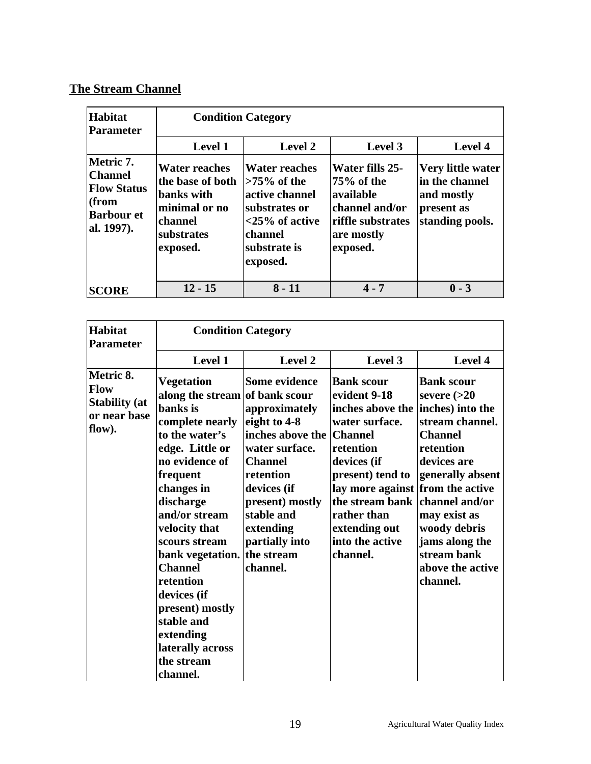## **The Stream Channel**

| Habitat<br><b>Parameter</b>                                                                   | <b>Condition Category</b>                                                                                    |                                                                                                                                       |                                                                                                             |                                                                                    |
|-----------------------------------------------------------------------------------------------|--------------------------------------------------------------------------------------------------------------|---------------------------------------------------------------------------------------------------------------------------------------|-------------------------------------------------------------------------------------------------------------|------------------------------------------------------------------------------------|
|                                                                                               | <b>Level 1</b>                                                                                               | <b>Level 2</b>                                                                                                                        | Level 3                                                                                                     | Level 4                                                                            |
| Metric 7.<br><b>Channel</b><br><b>Flow Status</b><br>(from<br><b>Barbour et</b><br>al. 1997). | <b>Water reaches</b><br>the base of both<br>banks with<br>minimal or no<br>channel<br>substrates<br>exposed. | <b>Water reaches</b><br>$>75\%$ of the<br>active channel<br>substrates or<br>$<$ 25% of active<br>channel<br>substrate is<br>exposed. | Water fills 25-<br>75% of the<br>available<br>channel and/or<br>riffle substrates<br>are mostly<br>exposed. | Very little water<br>in the channel<br>and mostly<br>present as<br>standing pools. |
| <b>SCORE</b>                                                                                  | $12 - 15$                                                                                                    | $8 - 11$                                                                                                                              | $4 - 7$                                                                                                     | $0 - 3$                                                                            |

| Habitat<br><b>Parameter</b>                                                | <b>Condition Category</b>                                                                                                                                                                                                                                                                                                                                                                         |                                                                                                                                                                                                                                      |                                                                                                                                                                                                                                                                        |                                                                                                                                                                                                                                            |
|----------------------------------------------------------------------------|---------------------------------------------------------------------------------------------------------------------------------------------------------------------------------------------------------------------------------------------------------------------------------------------------------------------------------------------------------------------------------------------------|--------------------------------------------------------------------------------------------------------------------------------------------------------------------------------------------------------------------------------------|------------------------------------------------------------------------------------------------------------------------------------------------------------------------------------------------------------------------------------------------------------------------|--------------------------------------------------------------------------------------------------------------------------------------------------------------------------------------------------------------------------------------------|
|                                                                            | Level 1                                                                                                                                                                                                                                                                                                                                                                                           | Level 2                                                                                                                                                                                                                              | Level 3                                                                                                                                                                                                                                                                | Level 4                                                                                                                                                                                                                                    |
| Metric 8.<br><b>Flow</b><br><b>Stability (at</b><br>or near base<br>flow). | <b>Vegetation</b><br>along the stream of bank scour<br>banks is<br>complete nearly<br>to the water's<br>edge. Little or<br>no evidence of<br>frequent<br>changes in<br>discharge<br>and/or stream<br>velocity that<br>scours stream<br>bank vegetation.<br><b>Channel</b><br>retention<br>devices (if<br>present) mostly<br>stable and<br>extending<br>laterally across<br>the stream<br>channel. | Some evidence<br>approximately<br>eight to 4-8<br>inches above the Channel<br>water surface.<br><b>Channel</b><br>retention<br>devices (if<br>present) mostly<br>stable and<br>extending<br>partially into<br>the stream<br>channel. | <b>Bank scour</b><br>evident 9-18<br>inches above the <i>inches</i> ) into the<br>water surface.<br>retention<br>devices (if<br>present) tend to<br>lay more against from the active<br>the stream bank<br>rather than<br>extending out<br>into the active<br>channel. | <b>Bank scour</b><br>severe $(>20$<br>stream channel.<br><b>Channel</b><br>retention<br>devices are<br>generally absent<br>channel and/or<br>may exist as<br>woody debris<br>jams along the<br>stream bank<br>above the active<br>channel. |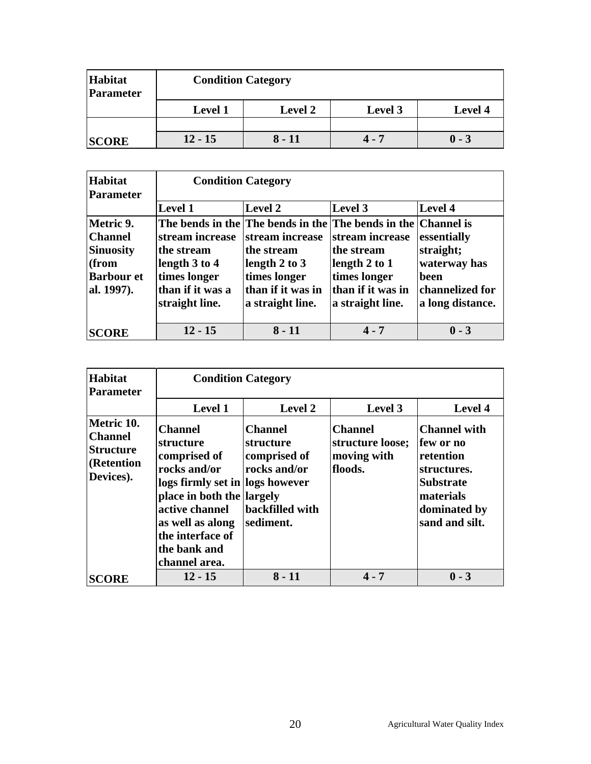| Habitat<br>Parameter | <b>Condition Category</b> |                |         |                |
|----------------------|---------------------------|----------------|---------|----------------|
|                      | <b>Level 1</b>            | <b>Level 2</b> | Level 3 | <b>Level 4</b> |
|                      |                           |                |         |                |
| <b>SCORE</b>         | $12 - 15$                 | 8 - 11         | $4 - 7$ | $0 - 3$        |

| Habitat<br><b>Parameter</b>                                                           | <b>Condition Category</b>                                                                            |                                                                                                                                                                              |                                                                                                             |                                                                                         |
|---------------------------------------------------------------------------------------|------------------------------------------------------------------------------------------------------|------------------------------------------------------------------------------------------------------------------------------------------------------------------------------|-------------------------------------------------------------------------------------------------------------|-----------------------------------------------------------------------------------------|
|                                                                                       | <b>Level 1</b>                                                                                       | <b>Level 2</b>                                                                                                                                                               | Level 3                                                                                                     | Level 4                                                                                 |
| Metric 9.<br> Channel<br><b>Sinuosity</b><br>(from<br><b>Barbour et</b><br>al. 1997). | stream increase<br>the stream<br>length 3 to 4<br>times longer<br>than if it was a<br>straight line. | The bends in the The bends in the The bends in the Channel is<br>stream increase<br>the stream<br>length $2$ to $3$<br>times longer<br>than if it was in<br>a straight line. | stream increase<br>the stream<br>length $2$ to $1$<br>times longer<br>than if it was in<br>a straight line. | essentially<br>straight;<br>waterway has<br>been<br>channelized for<br>a long distance. |
| <b>ISCORE</b>                                                                         | $12 - 15$                                                                                            | $8 - 11$                                                                                                                                                                     | $4 - 7$                                                                                                     | $0 - 3$                                                                                 |

| <b>Habitat</b><br>Parameter                                                 | <b>Condition Category</b>                                                                                                                                                                                              |                                                                                             |                                                              |                                                                                                                                 |  |
|-----------------------------------------------------------------------------|------------------------------------------------------------------------------------------------------------------------------------------------------------------------------------------------------------------------|---------------------------------------------------------------------------------------------|--------------------------------------------------------------|---------------------------------------------------------------------------------------------------------------------------------|--|
|                                                                             | <b>Level 1</b>                                                                                                                                                                                                         | Level 2                                                                                     | Level 3                                                      | Level 4                                                                                                                         |  |
| Metric 10.<br><b>Channel</b><br><b>Structure</b><br>(Retention<br>Devices). | <b>Channel</b><br>structure<br>comprised of<br>rocks and/or<br>logs firmly set in logs however<br>place in both the largely<br>active channel<br>as well as along<br>the interface of<br>the bank and<br>channel area. | <b>Channel</b><br>structure<br>comprised of<br>rocks and/or<br>backfilled with<br>sediment. | <b>Channel</b><br>structure loose;<br>moving with<br>floods. | <b>Channel with</b><br>few or no<br>retention<br>structures.<br><b>Substrate</b><br>materials<br>dominated by<br>sand and silt. |  |
| <b>SCORE</b>                                                                | $12 - 15$                                                                                                                                                                                                              | 8 - 11                                                                                      | $4 - 7$                                                      | $0 - 3$                                                                                                                         |  |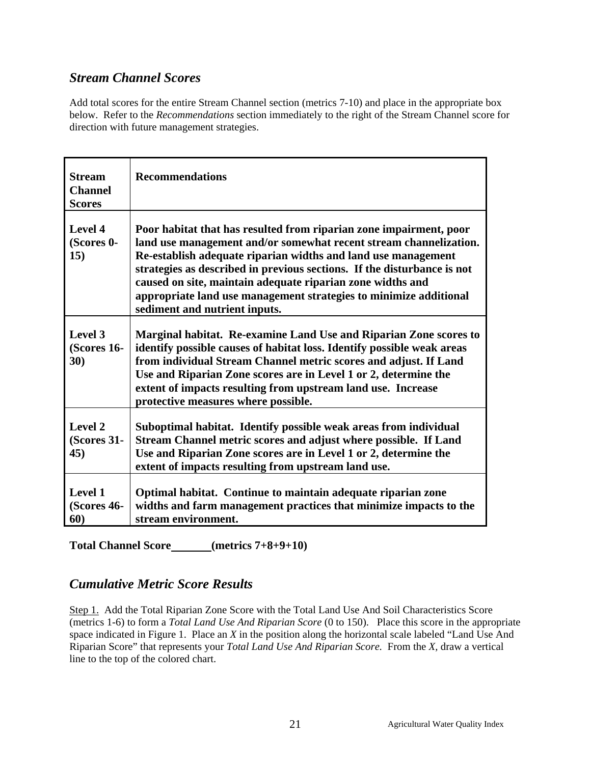## *Stream Channel Scores*

Add total scores for the entire Stream Channel section (metrics 7-10) and place in the appropriate box below. Refer to the *Recommendations* section immediately to the right of the Stream Channel score for direction with future management strategies.

| <b>Stream</b><br><b>Channel</b><br><b>Scores</b> | <b>Recommendations</b>                                                                                                                                                                                                                                                                                                                                                                                                                                  |
|--------------------------------------------------|---------------------------------------------------------------------------------------------------------------------------------------------------------------------------------------------------------------------------------------------------------------------------------------------------------------------------------------------------------------------------------------------------------------------------------------------------------|
| Level 4<br>(Scores 0-<br>15)                     | Poor habitat that has resulted from riparian zone impairment, poor<br>land use management and/or somewhat recent stream channelization.<br>Re-establish adequate riparian widths and land use management<br>strategies as described in previous sections. If the disturbance is not<br>caused on site, maintain adequate riparian zone widths and<br>appropriate land use management strategies to minimize additional<br>sediment and nutrient inputs. |
| Level 3<br>$(Scores 16-$<br>30)                  | Marginal habitat. Re-examine Land Use and Riparian Zone scores to<br>identify possible causes of habitat loss. Identify possible weak areas<br>from individual Stream Channel metric scores and adjust. If Land<br>Use and Riparian Zone scores are in Level 1 or 2, determine the<br>extent of impacts resulting from upstream land use. Increase<br>protective measures where possible.                                                               |
| Level 2<br>(Scores 31-<br>45)                    | Suboptimal habitat. Identify possible weak areas from individual<br>Stream Channel metric scores and adjust where possible. If Land<br>Use and Riparian Zone scores are in Level 1 or 2, determine the<br>extent of impacts resulting from upstream land use.                                                                                                                                                                                           |
| Level 1<br>(Scores 46-<br>60)                    | Optimal habitat. Continue to maintain adequate riparian zone<br>widths and farm management practices that minimize impacts to the<br>stream environment.                                                                                                                                                                                                                                                                                                |

Total Channel Score
(metrics 7+8+9+10)

## *Cumulative Metric Score Results*

Step 1. Add the Total Riparian Zone Score with the Total Land Use And Soil Characteristics Score (metrics 1-6) to form a *Total Land Use And Riparian Score* (0 to 150). Place this score in the appropriate space indicated in Figure 1. Place an *X* in the position along the horizontal scale labeled "Land Use And Riparian Score" that represents your *Total Land Use And Riparian Score.* From the *X,* draw a vertical line to the top of the colored chart.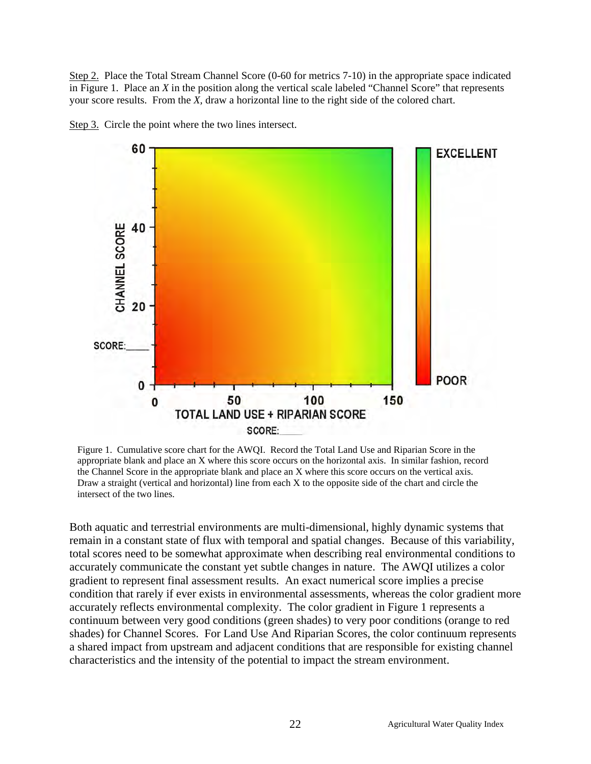Step 2. Place the Total Stream Channel Score (0-60 for metrics 7-10) in the appropriate space indicated in Figure 1. Place an *X* in the position along the vertical scale labeled "Channel Score" that represents your score results. From the *X,* draw a horizontal line to the right side of the colored chart.



Step 3. Circle the point where the two lines intersect.

Figure 1. Cumulative score chart for the AWQI. Record the Total Land Use and Riparian Score in the appropriate blank and place an X where this score occurs on the horizontal axis. In similar fashion, record the Channel Score in the appropriate blank and place an X where this score occurs on the vertical axis. Draw a straight (vertical and horizontal) line from each X to the opposite side of the chart and circle the intersect of the two lines.

Both aquatic and terrestrial environments are multi-dimensional, highly dynamic systems that remain in a constant state of flux with temporal and spatial changes. Because of this variability, total scores need to be somewhat approximate when describing real environmental conditions to accurately communicate the constant yet subtle changes in nature. The AWQI utilizes a color gradient to represent final assessment results. An exact numerical score implies a precise condition that rarely if ever exists in environmental assessments, whereas the color gradient more accurately reflects environmental complexity. The color gradient in Figure 1 represents a continuum between very good conditions (green shades) to very poor conditions (orange to red shades) for Channel Scores. For Land Use And Riparian Scores, the color continuum represents a shared impact from upstream and adjacent conditions that are responsible for existing channel characteristics and the intensity of the potential to impact the stream environment.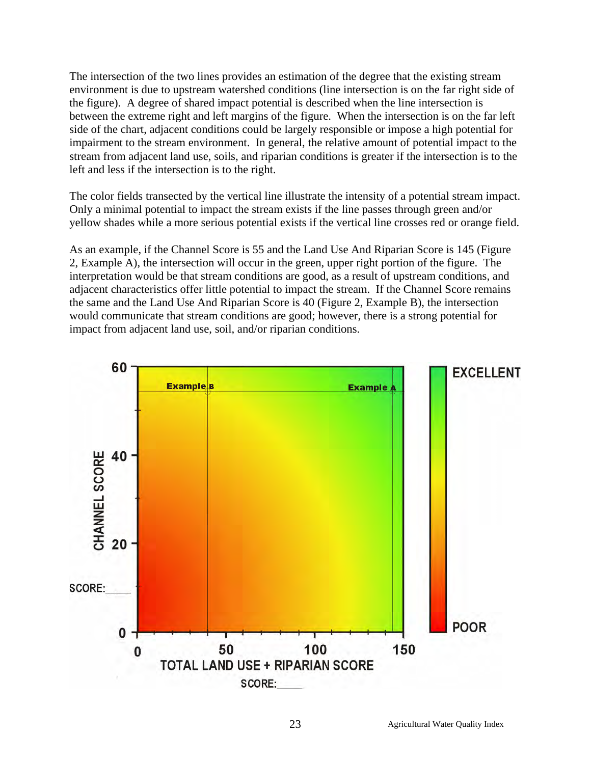The intersection of the two lines provides an estimation of the degree that the existing stream environment is due to upstream watershed conditions (line intersection is on the far right side of the figure). A degree of shared impact potential is described when the line intersection is between the extreme right and left margins of the figure. When the intersection is on the far left side of the chart, adjacent conditions could be largely responsible or impose a high potential for impairment to the stream environment. In general, the relative amount of potential impact to the stream from adjacent land use, soils, and riparian conditions is greater if the intersection is to the left and less if the intersection is to the right.

The color fields transected by the vertical line illustrate the intensity of a potential stream impact. Only a minimal potential to impact the stream exists if the line passes through green and/or yellow shades while a more serious potential exists if the vertical line crosses red or orange field.

As an example, if the Channel Score is 55 and the Land Use And Riparian Score is 145 (Figure 2, Example A), the intersection will occur in the green, upper right portion of the figure. The interpretation would be that stream conditions are good, as a result of upstream conditions, and adjacent characteristics offer little potential to impact the stream. If the Channel Score remains the same and the Land Use And Riparian Score is 40 (Figure 2, Example B), the intersection would communicate that stream conditions are good; however, there is a strong potential for impact from adjacent land use, soil, and/or riparian conditions.

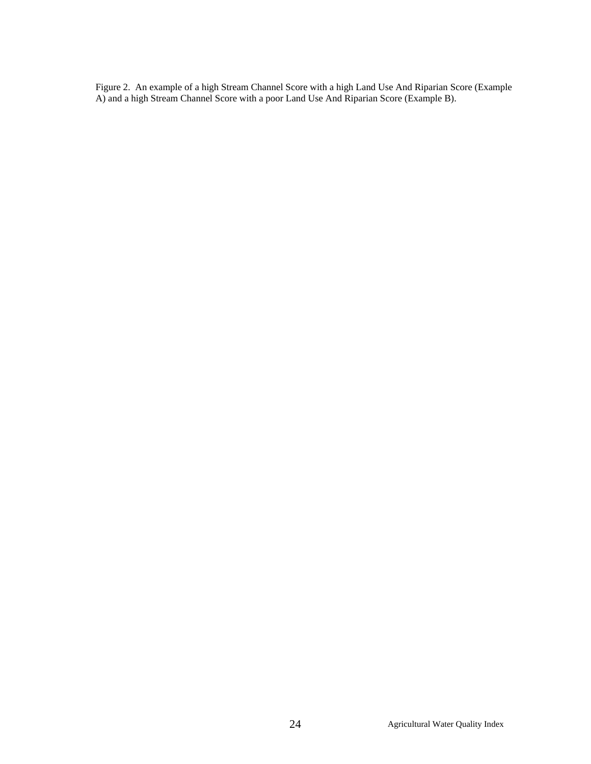Figure 2. An example of a high Stream Channel Score with a high Land Use And Riparian Score (Example A) and a high Stream Channel Score with a poor Land Use And Riparian Score (Example B).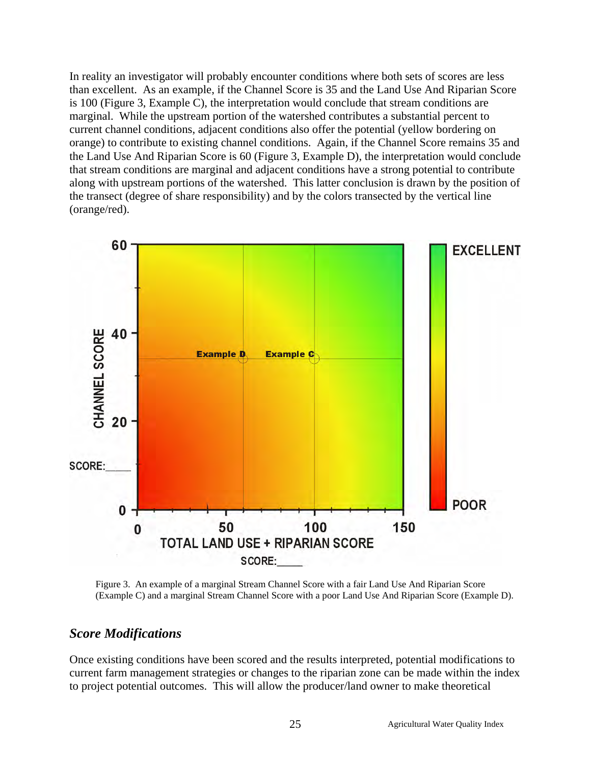In reality an investigator will probably encounter conditions where both sets of scores are less than excellent. As an example, if the Channel Score is 35 and the Land Use And Riparian Score is 100 (Figure 3, Example C), the interpretation would conclude that stream conditions are marginal. While the upstream portion of the watershed contributes a substantial percent to current channel conditions, adjacent conditions also offer the potential (yellow bordering on orange) to contribute to existing channel conditions. Again, if the Channel Score remains 35 and the Land Use And Riparian Score is 60 (Figure 3, Example D), the interpretation would conclude that stream conditions are marginal and adjacent conditions have a strong potential to contribute along with upstream portions of the watershed. This latter conclusion is drawn by the position of the transect (degree of share responsibility) and by the colors transected by the vertical line (orange/red).



Figure 3. An example of a marginal Stream Channel Score with a fair Land Use And Riparian Score (Example C) and a marginal Stream Channel Score with a poor Land Use And Riparian Score (Example D).

#### *Score Modifications*

Once existing conditions have been scored and the results interpreted, potential modifications to current farm management strategies or changes to the riparian zone can be made within the index to project potential outcomes. This will allow the producer/land owner to make theoretical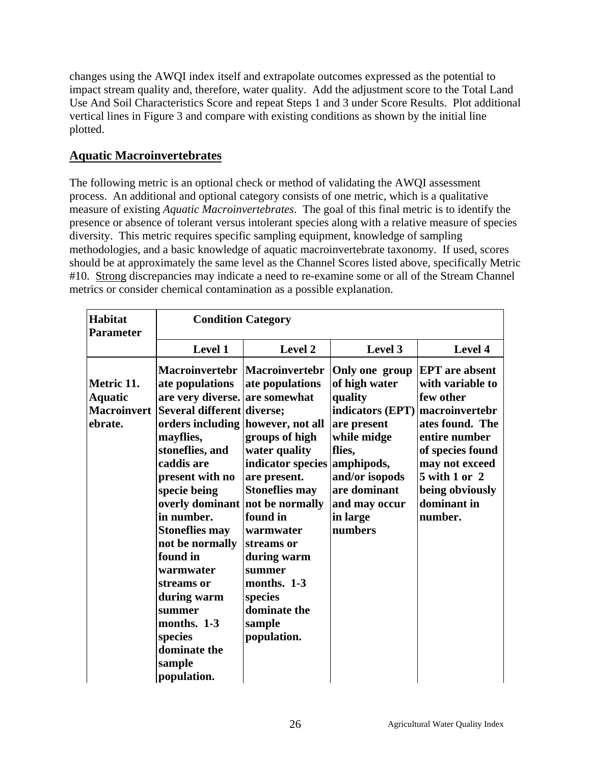changes using the AWQI index itself and extrapolate outcomes expressed as the potential to impact stream quality and, therefore, water quality. Add the adjustment score to the Total Land Use And Soil Characteristics Score and repeat Steps 1 and 3 under Score Results. Plot additional vertical lines in Figure 3 and compare with existing conditions as shown by the initial line plotted.

## **Aquatic Macroinvertebrates**

The following metric is an optional check or method of validating the AWQI assessment process. An additional and optional category consists of one metric, which is a qualitative measure of existing *Aquatic Macroinvertebrates*. The goal of this final metric is to identify the presence or absence of tolerant versus intolerant species along with a relative measure of species diversity. This metric requires specific sampling equipment, knowledge of sampling methodologies, and a basic knowledge of aquatic macroinvertebrate taxonomy. If used, scores should be at approximately the same level as the Channel Scores listed above, specifically Metric #10. Strong discrepancies may indicate a need to re-examine some or all of the Stream Channel metrics or consider chemical contamination as a possible explanation.

| <b>Habitat</b><br><b>Parameter</b>                            | <b>Condition Category</b>                                                                                                                                                                                                                                                                                                                                                                                                                                      |                                                                                                                                                                                                                                                                              |                                                                                                                                                                                                |                                                                                                                                                                                                                  |  |  |
|---------------------------------------------------------------|----------------------------------------------------------------------------------------------------------------------------------------------------------------------------------------------------------------------------------------------------------------------------------------------------------------------------------------------------------------------------------------------------------------------------------------------------------------|------------------------------------------------------------------------------------------------------------------------------------------------------------------------------------------------------------------------------------------------------------------------------|------------------------------------------------------------------------------------------------------------------------------------------------------------------------------------------------|------------------------------------------------------------------------------------------------------------------------------------------------------------------------------------------------------------------|--|--|
|                                                               | <b>Level 1</b>                                                                                                                                                                                                                                                                                                                                                                                                                                                 | Level 2                                                                                                                                                                                                                                                                      | Level 3                                                                                                                                                                                        | Level 4                                                                                                                                                                                                          |  |  |
| Metric 11.<br><b>Aquatic</b><br><b>Macroinvert</b><br>ebrate. | <b>Macroinvertebr</b><br>ate populations<br>are very diverse. are somewhat<br>Several different diverse;<br>orders including however, not all<br>mayflies,<br>stoneflies, and<br>caddis are<br>present with no<br>specie being<br>overly dominant not be normally<br>in number.<br><b>Stoneflies may</b><br>not be normally<br>found in<br>warmwater<br>streams or<br>during warm<br>summer<br>months. 1-3<br>species<br>dominate the<br>sample<br>population. | <b>Macroinvertebr</b><br>ate populations<br>groups of high<br>water quality<br>indicator species<br>are present.<br><b>Stoneflies may</b><br>found in<br>warmwater<br>streams or<br>during warm<br>summer<br>months. 1-3<br>species<br>dominate the<br>sample<br>population. | Only one group<br>of high water<br>quality<br>indicators (EPT)<br>are present<br>while midge<br>flies,<br>amphipods,<br>and/or isopods<br>are dominant<br>and may occur<br>in large<br>numbers | <b>EPT</b> are absent<br>with variable to<br>few other<br>macroinvertebr<br>ates found. The<br>entire number<br>of species found<br>may not exceed<br>5 with 1 or 2<br>being obviously<br>dominant in<br>number. |  |  |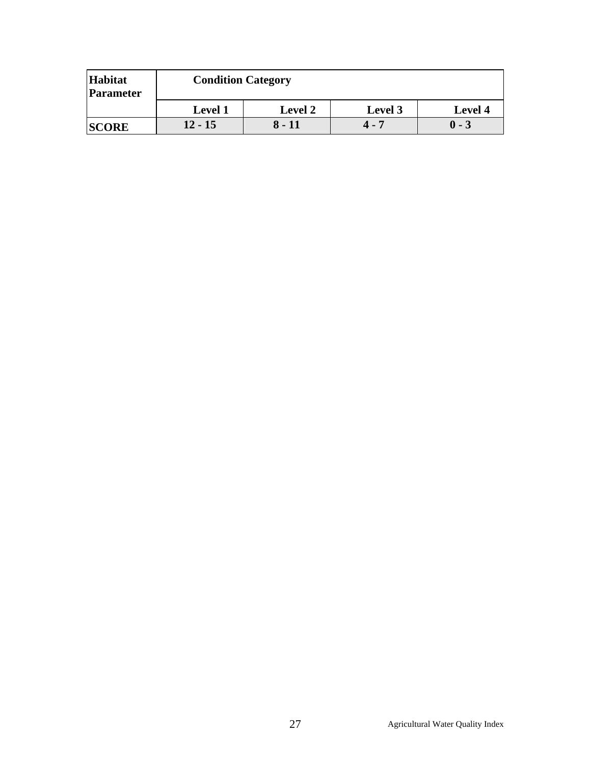| Habitat<br>Parameter | <b>Condition Category</b> |                |         |                |  |  |
|----------------------|---------------------------|----------------|---------|----------------|--|--|
|                      | <b>Level 1</b>            | <b>Level 2</b> | Level 3 | <b>Level</b> 4 |  |  |
| <b>SCORE</b>         | 12 - 15                   | 8 - 11         | 4 - 7   | $0 - 3$        |  |  |